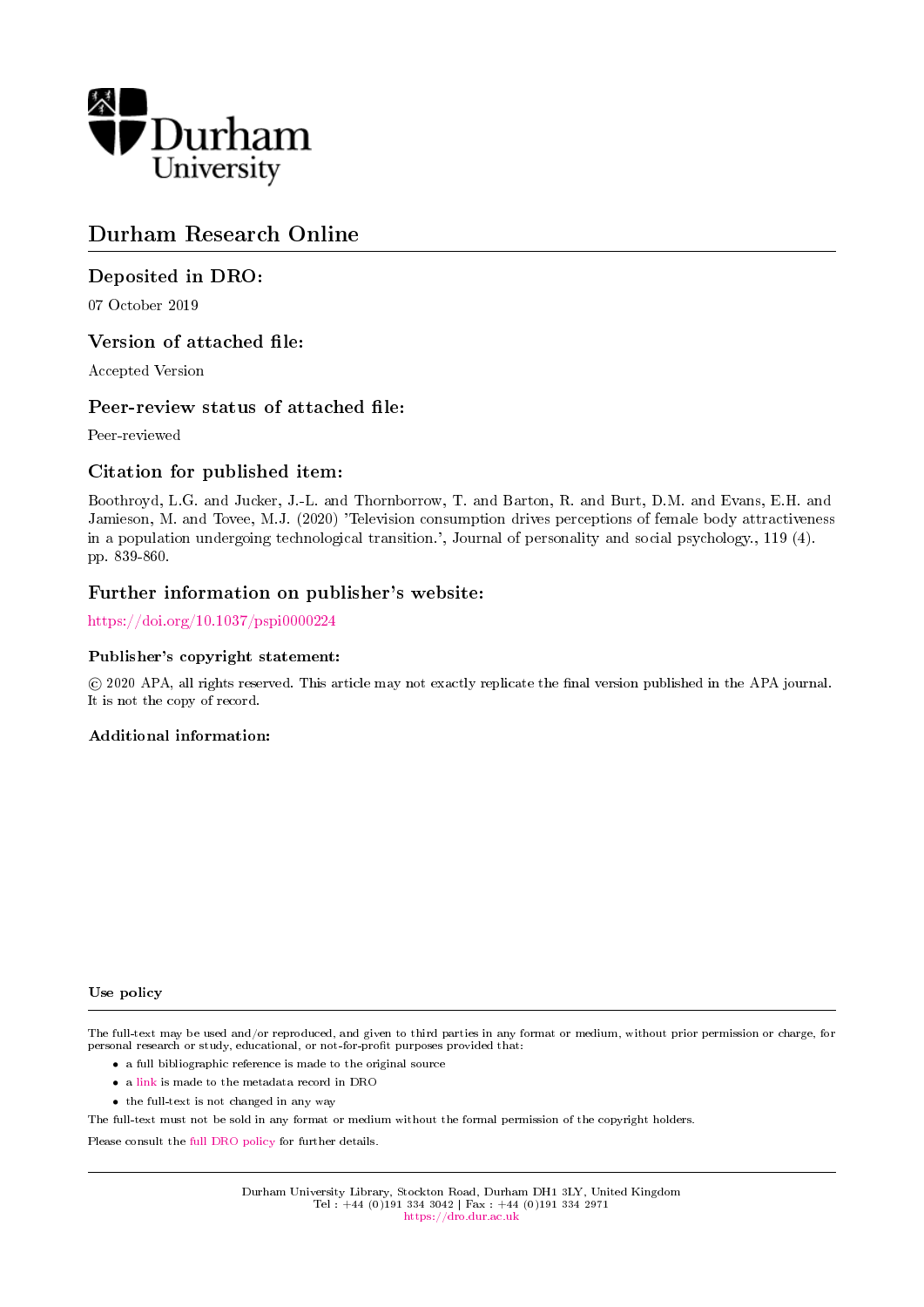

# Durham Research Online

## Deposited in DRO:

07 October 2019

## Version of attached file:

Accepted Version

## Peer-review status of attached file:

Peer-reviewed

## Citation for published item:

Boothroyd, L.G. and Jucker, J.-L. and Thornborrow, T. and Barton, R. and Burt, D.M. and Evans, E.H. and Jamieson, M. and Tovee, M.J. (2020) 'Television consumption drives perceptions of female body attractiveness in a population undergoing technological transition.', Journal of personality and social psychology., 119 (4). pp. 839-860.

## Further information on publisher's website:

<https://doi.org/10.1037/pspi0000224>

### Publisher's copyright statement:

 c 2020 APA, all rights reserved. This article may not exactly replicate the nal version published in the APA journal. It is not the copy of record.

### Additional information:

#### Use policy

The full-text may be used and/or reproduced, and given to third parties in any format or medium, without prior permission or charge, for personal research or study, educational, or not-for-profit purposes provided that:

- a full bibliographic reference is made to the original source
- a [link](http://dro.dur.ac.uk/29229/) is made to the metadata record in DRO
- the full-text is not changed in any way

The full-text must not be sold in any format or medium without the formal permission of the copyright holders.

Please consult the [full DRO policy](https://dro.dur.ac.uk/policies/usepolicy.pdf) for further details.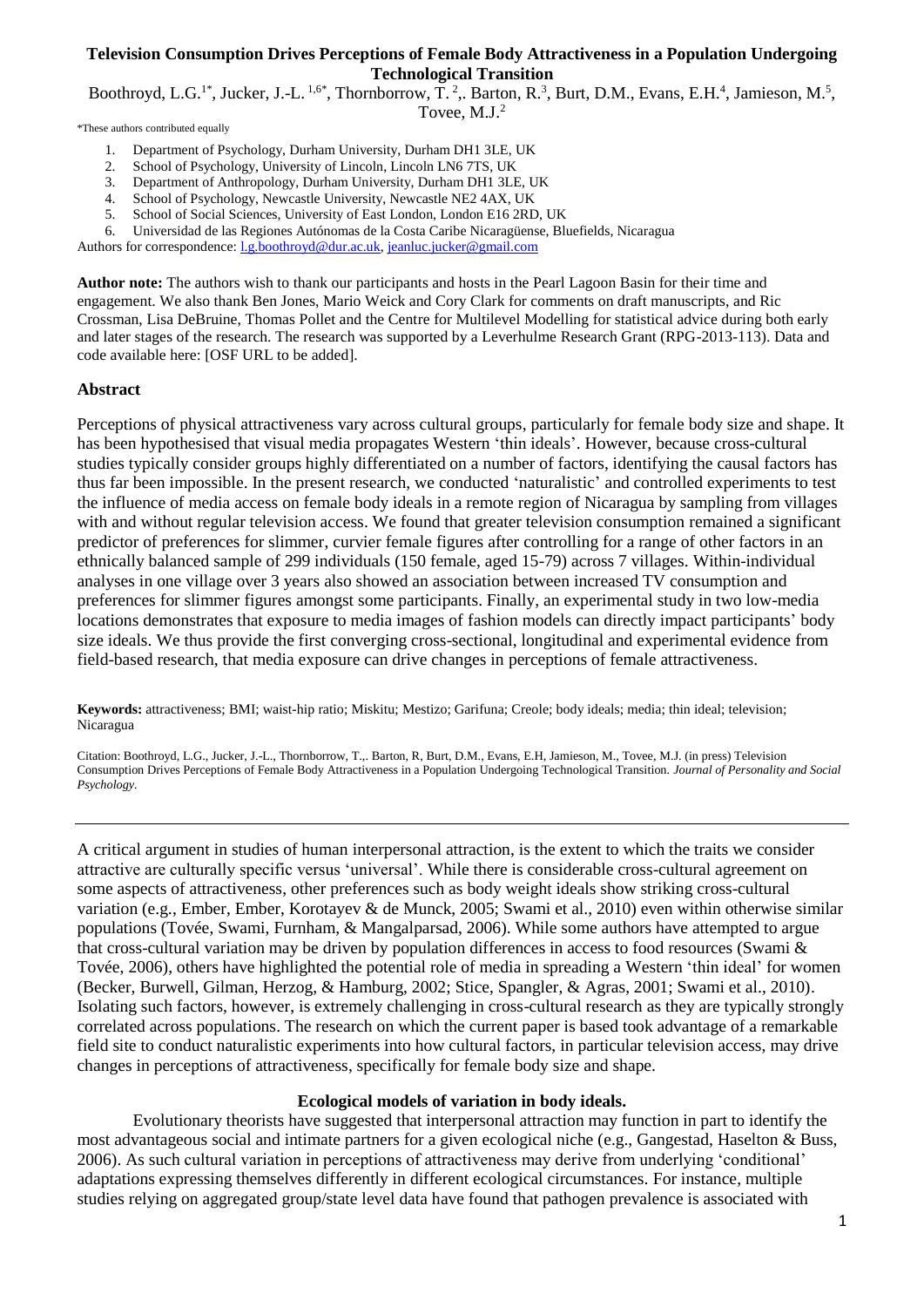## **Television Consumption Drives Perceptions of Female Body Attractiveness in a Population Undergoing Technological Transition**

Boothroyd, L.G.<sup>1\*</sup>, Jucker, J.-L.<sup>1,6\*</sup>, Thornborrow, T.<sup>2</sup>,. Barton, R.<sup>3</sup>, Burt, D.M., Evans, E.H.<sup>4</sup>, Jamieson, M.<sup>5</sup>, Tovee, M.J.<sup>2</sup>

\*These authors contributed equally

- 1. Department of Psychology, Durham University, Durham DH1 3LE, UK
- 2. School of Psychology, University of Lincoln, Lincoln LN6 7TS, UK
- 3. Department of Anthropology, Durham University, Durham DH1 3LE, UK
- 4. School of Psychology, Newcastle University, Newcastle NE2 4AX, UK
- 5. School of Social Sciences, University of East London, London E16 2RD, UK
- 6. Universidad de las Regiones Autónomas de la Costa Caribe Nicaragüense, Bluefields, Nicaragua

Authors for correspondence: [l.g.boothroyd@dur.ac.uk,](mailto:l.g.boothroyd@dur.ac.uk) [jeanluc.jucker@gmail.com](mailto:jeanluc.jucker@gmail.com)

**Author note:** The authors wish to thank our participants and hosts in the Pearl Lagoon Basin for their time and engagement. We also thank Ben Jones, Mario Weick and Cory Clark for comments on draft manuscripts, and Ric Crossman, Lisa DeBruine, Thomas Pollet and the Centre for Multilevel Modelling for statistical advice during both early and later stages of the research. The research was supported by a Leverhulme Research Grant (RPG-2013-113). Data and code available here: [OSF URL to be added].

### **Abstract**

Perceptions of physical attractiveness vary across cultural groups, particularly for female body size and shape. It has been hypothesised that visual media propagates Western 'thin ideals'. However, because cross-cultural studies typically consider groups highly differentiated on a number of factors, identifying the causal factors has thus far been impossible. In the present research, we conducted 'naturalistic' and controlled experiments to test the influence of media access on female body ideals in a remote region of Nicaragua by sampling from villages with and without regular television access. We found that greater television consumption remained a significant predictor of preferences for slimmer, curvier female figures after controlling for a range of other factors in an ethnically balanced sample of 299 individuals (150 female, aged 15-79) across 7 villages. Within-individual analyses in one village over 3 years also showed an association between increased TV consumption and preferences for slimmer figures amongst some participants. Finally, an experimental study in two low-media locations demonstrates that exposure to media images of fashion models can directly impact participants' body size ideals. We thus provide the first converging cross-sectional, longitudinal and experimental evidence from field-based research, that media exposure can drive changes in perceptions of female attractiveness.

**Keywords:** attractiveness; BMI; waist-hip ratio; Miskitu; Mestizo; Garifuna; Creole; body ideals; media; thin ideal; television; Nicaragua

Citation: Boothroyd, L.G., Jucker, J.-L., Thornborrow, T.,. Barton, R, Burt, D.M., Evans, E.H, Jamieson, M., Tovee, M.J. (in press) Television Consumption Drives Perceptions of Female Body Attractiveness in a Population Undergoing Technological Transition. *Journal of Personality and Social Psychology.*

A critical argument in studies of human interpersonal attraction, is the extent to which the traits we consider attractive are culturally specific versus 'universal'. While there is considerable cross-cultural agreement on some aspects of attractiveness, other preferences such as body weight ideals show striking cross-cultural variation (e.g., Ember, Ember, Korotayev & de Munck, 2005; Swami et al., 2010) even within otherwise similar populations (Tovée, Swami, Furnham, & Mangalparsad, 2006). While some authors have attempted to argue that cross-cultural variation may be driven by population differences in access to food resources (Swami & Tovée, 2006), others have highlighted the potential role of media in spreading a Western 'thin ideal' for women (Becker, Burwell, Gilman, Herzog, & Hamburg, 2002; Stice, Spangler, & Agras, 2001; Swami et al., 2010). Isolating such factors, however, is extremely challenging in cross-cultural research as they are typically strongly correlated across populations. The research on which the current paper is based took advantage of a remarkable field site to conduct naturalistic experiments into how cultural factors, in particular television access, may drive changes in perceptions of attractiveness, specifically for female body size and shape.

### **Ecological models of variation in body ideals.**

Evolutionary theorists have suggested that interpersonal attraction may function in part to identify the most advantageous social and intimate partners for a given ecological niche (e.g., Gangestad, Haselton & Buss, 2006). As such cultural variation in perceptions of attractiveness may derive from underlying 'conditional' adaptations expressing themselves differently in different ecological circumstances. For instance, multiple studies relying on aggregated group/state level data have found that pathogen prevalence is associated with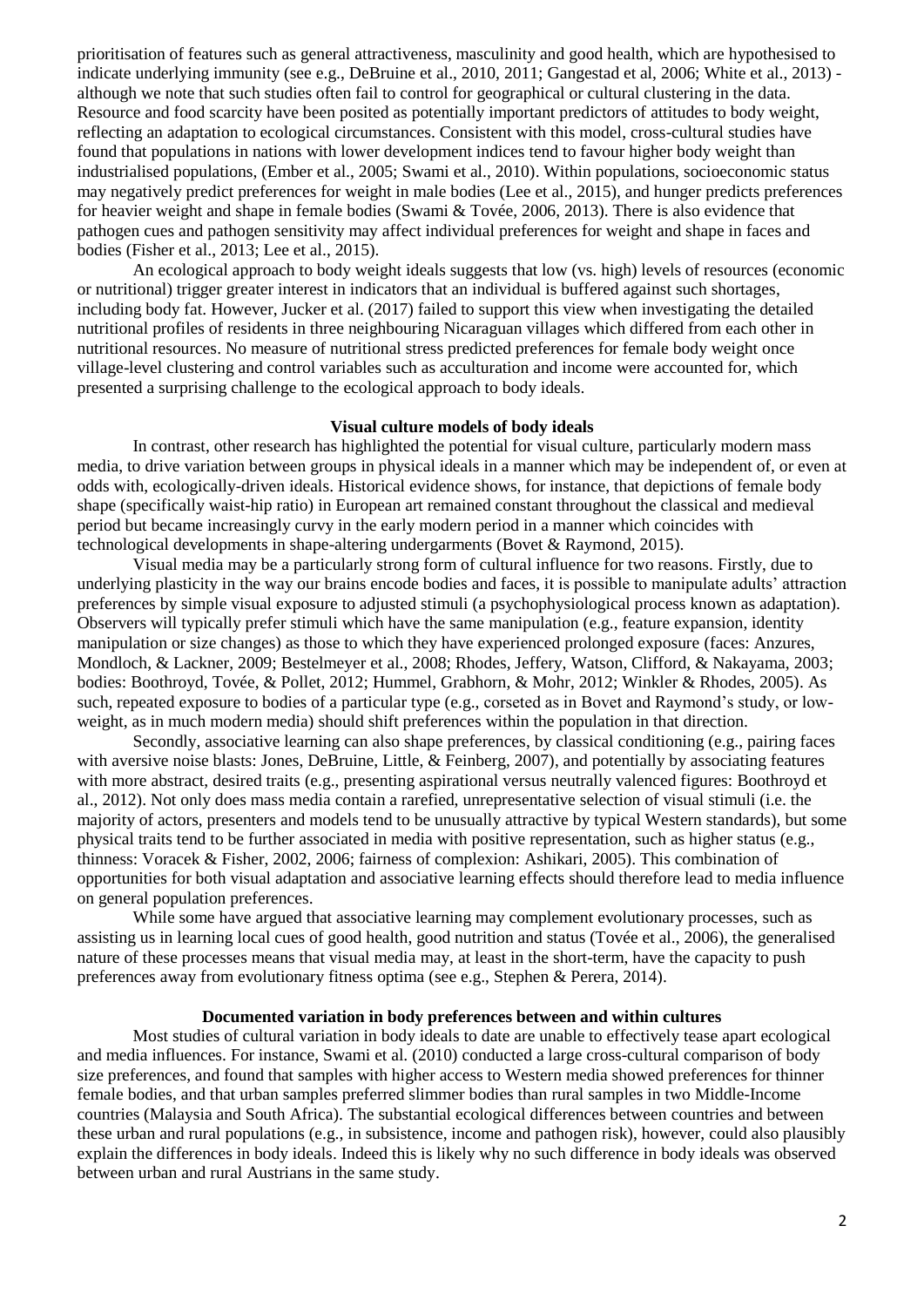prioritisation of features such as general attractiveness, masculinity and good health, which are hypothesised to indicate underlying immunity (see e.g., DeBruine et al., 2010, 2011; Gangestad et al, 2006; White et al., 2013) although we note that such studies often fail to control for geographical or cultural clustering in the data. Resource and food scarcity have been posited as potentially important predictors of attitudes to body weight, reflecting an adaptation to ecological circumstances. Consistent with this model, cross-cultural studies have found that populations in nations with lower development indices tend to favour higher body weight than industrialised populations, (Ember et al., 2005; Swami et al., 2010). Within populations, socioeconomic status may negatively predict preferences for weight in male bodies (Lee et al., 2015), and hunger predicts preferences for heavier weight and shape in female bodies (Swami & Tovée, 2006, 2013). There is also evidence that pathogen cues and pathogen sensitivity may affect individual preferences for weight and shape in faces and bodies (Fisher et al., 2013; Lee et al., 2015).

An ecological approach to body weight ideals suggests that low (vs. high) levels of resources (economic or nutritional) trigger greater interest in indicators that an individual is buffered against such shortages, including body fat. However, Jucker et al. (2017) failed to support this view when investigating the detailed nutritional profiles of residents in three neighbouring Nicaraguan villages which differed from each other in nutritional resources. No measure of nutritional stress predicted preferences for female body weight once village-level clustering and control variables such as acculturation and income were accounted for, which presented a surprising challenge to the ecological approach to body ideals.

### **Visual culture models of body ideals**

In contrast, other research has highlighted the potential for visual culture, particularly modern mass media, to drive variation between groups in physical ideals in a manner which may be independent of, or even at odds with, ecologically-driven ideals. Historical evidence shows, for instance, that depictions of female body shape (specifically waist-hip ratio) in European art remained constant throughout the classical and medieval period but became increasingly curvy in the early modern period in a manner which coincides with technological developments in shape-altering undergarments (Bovet & Raymond, 2015).

Visual media may be a particularly strong form of cultural influence for two reasons. Firstly, due to underlying plasticity in the way our brains encode bodies and faces, it is possible to manipulate adults' attraction preferences by simple visual exposure to adjusted stimuli (a psychophysiological process known as adaptation). Observers will typically prefer stimuli which have the same manipulation (e.g., feature expansion, identity manipulation or size changes) as those to which they have experienced prolonged exposure (faces: Anzures, Mondloch, & Lackner, 2009; Bestelmeyer et al., 2008; Rhodes, Jeffery, Watson, Clifford, & Nakayama, 2003; bodies: Boothroyd, Tovée, & Pollet, 2012; Hummel, Grabhorn, & Mohr, 2012; Winkler & Rhodes, 2005). As such, repeated exposure to bodies of a particular type (e.g., corseted as in Bovet and Raymond's study, or lowweight, as in much modern media) should shift preferences within the population in that direction.

Secondly, associative learning can also shape preferences, by classical conditioning (e.g., pairing faces with aversive noise blasts: Jones, DeBruine, Little, & Feinberg, 2007), and potentially by associating features with more abstract, desired traits (e.g., presenting aspirational versus neutrally valenced figures: Boothroyd et al., 2012). Not only does mass media contain a rarefied, unrepresentative selection of visual stimuli (i.e. the majority of actors, presenters and models tend to be unusually attractive by typical Western standards), but some physical traits tend to be further associated in media with positive representation, such as higher status (e.g., thinness: Voracek & Fisher, 2002, 2006; fairness of complexion: Ashikari, 2005). This combination of opportunities for both visual adaptation and associative learning effects should therefore lead to media influence on general population preferences.

While some have argued that associative learning may complement evolutionary processes, such as assisting us in learning local cues of good health, good nutrition and status (Tovée et al., 2006), the generalised nature of these processes means that visual media may, at least in the short-term, have the capacity to push preferences away from evolutionary fitness optima (see e.g., Stephen & Perera, 2014).

### **Documented variation in body preferences between and within cultures**

Most studies of cultural variation in body ideals to date are unable to effectively tease apart ecological and media influences. For instance, Swami et al. (2010) conducted a large cross-cultural comparison of body size preferences, and found that samples with higher access to Western media showed preferences for thinner female bodies, and that urban samples preferred slimmer bodies than rural samples in two Middle-Income countries (Malaysia and South Africa). The substantial ecological differences between countries and between these urban and rural populations (e.g., in subsistence, income and pathogen risk), however, could also plausibly explain the differences in body ideals. Indeed this is likely why no such difference in body ideals was observed between urban and rural Austrians in the same study.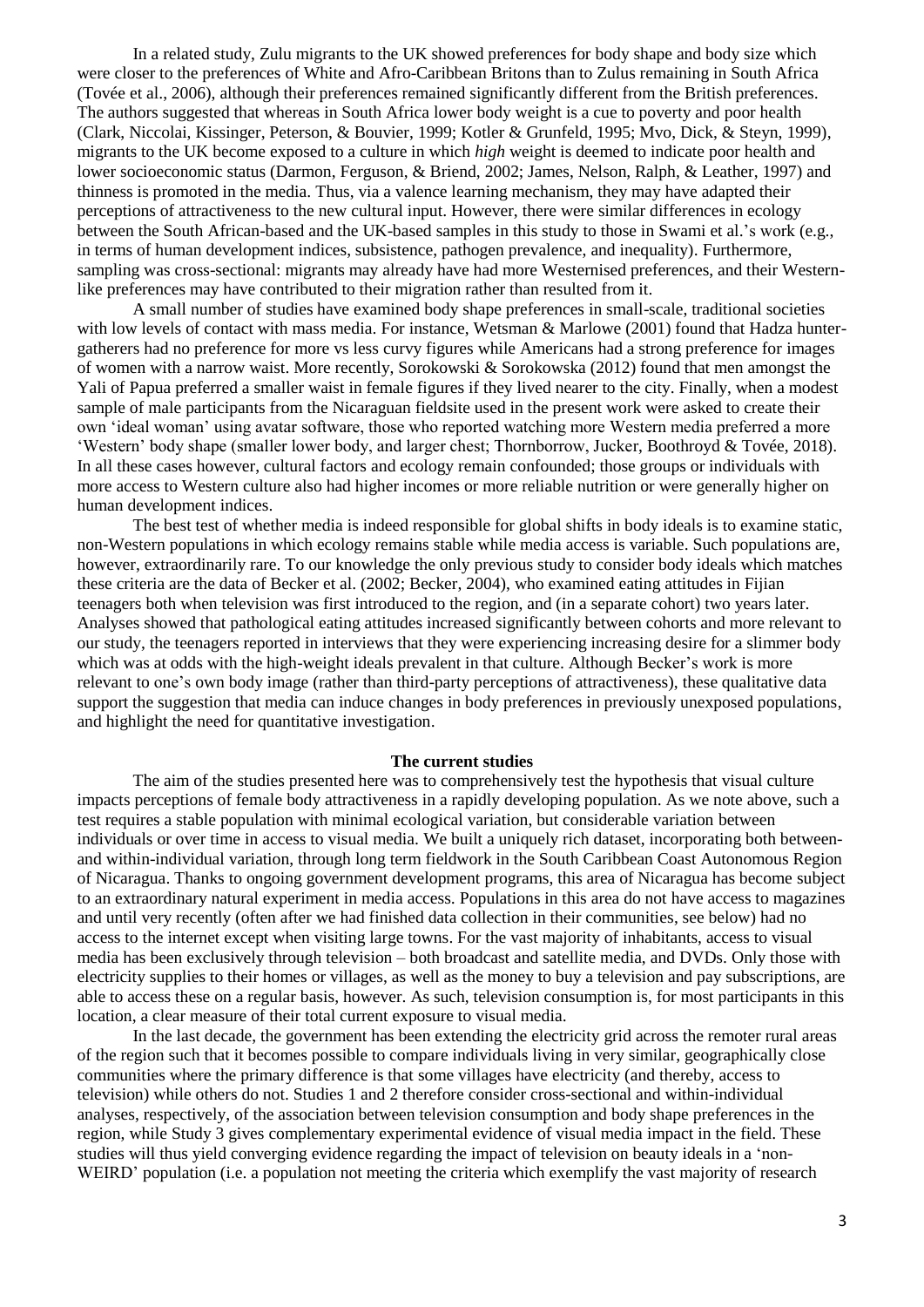In a related study, Zulu migrants to the UK showed preferences for body shape and body size which were closer to the preferences of White and Afro-Caribbean Britons than to Zulus remaining in South Africa (Tovée et al., 2006), although their preferences remained significantly different from the British preferences. The authors suggested that whereas in South Africa lower body weight is a cue to poverty and poor health (Clark, Niccolai, Kissinger, Peterson, & Bouvier, 1999; Kotler & Grunfeld, 1995; Mvo, Dick, & Steyn, 1999), migrants to the UK become exposed to a culture in which *high* weight is deemed to indicate poor health and lower socioeconomic status (Darmon, Ferguson, & Briend, 2002; James, Nelson, Ralph, & Leather, 1997) and thinness is promoted in the media. Thus, via a valence learning mechanism, they may have adapted their perceptions of attractiveness to the new cultural input. However, there were similar differences in ecology between the South African-based and the UK-based samples in this study to those in Swami et al.'s work (e.g., in terms of human development indices, subsistence, pathogen prevalence, and inequality). Furthermore, sampling was cross-sectional: migrants may already have had more Westernised preferences, and their Westernlike preferences may have contributed to their migration rather than resulted from it.

A small number of studies have examined body shape preferences in small-scale, traditional societies with low levels of contact with mass media. For instance, Wetsman & Marlowe (2001) found that Hadza huntergatherers had no preference for more vs less curvy figures while Americans had a strong preference for images of women with a narrow waist. More recently, Sorokowski & Sorokowska (2012) found that men amongst the Yali of Papua preferred a smaller waist in female figures if they lived nearer to the city. Finally, when a modest sample of male participants from the Nicaraguan fieldsite used in the present work were asked to create their own 'ideal woman' using avatar software, those who reported watching more Western media preferred a more 'Western' body shape (smaller lower body, and larger chest; Thornborrow, Jucker, Boothroyd & Tovée, 2018). In all these cases however, cultural factors and ecology remain confounded; those groups or individuals with more access to Western culture also had higher incomes or more reliable nutrition or were generally higher on human development indices.

The best test of whether media is indeed responsible for global shifts in body ideals is to examine static, non-Western populations in which ecology remains stable while media access is variable. Such populations are, however, extraordinarily rare. To our knowledge the only previous study to consider body ideals which matches these criteria are the data of Becker et al. (2002; Becker, 2004), who examined eating attitudes in Fijian teenagers both when television was first introduced to the region, and (in a separate cohort) two years later. Analyses showed that pathological eating attitudes increased significantly between cohorts and more relevant to our study, the teenagers reported in interviews that they were experiencing increasing desire for a slimmer body which was at odds with the high-weight ideals prevalent in that culture. Although Becker's work is more relevant to one's own body image (rather than third-party perceptions of attractiveness), these qualitative data support the suggestion that media can induce changes in body preferences in previously unexposed populations, and highlight the need for quantitative investigation.

## **The current studies**

The aim of the studies presented here was to comprehensively test the hypothesis that visual culture impacts perceptions of female body attractiveness in a rapidly developing population. As we note above, such a test requires a stable population with minimal ecological variation, but considerable variation between individuals or over time in access to visual media. We built a uniquely rich dataset, incorporating both betweenand within-individual variation, through long term fieldwork in the South Caribbean Coast Autonomous Region of Nicaragua. Thanks to ongoing government development programs, this area of Nicaragua has become subject to an extraordinary natural experiment in media access. Populations in this area do not have access to magazines and until very recently (often after we had finished data collection in their communities, see below) had no access to the internet except when visiting large towns. For the vast majority of inhabitants, access to visual media has been exclusively through television – both broadcast and satellite media, and DVDs. Only those with electricity supplies to their homes or villages, as well as the money to buy a television and pay subscriptions, are able to access these on a regular basis, however. As such, television consumption is, for most participants in this location, a clear measure of their total current exposure to visual media.

In the last decade, the government has been extending the electricity grid across the remoter rural areas of the region such that it becomes possible to compare individuals living in very similar, geographically close communities where the primary difference is that some villages have electricity (and thereby, access to television) while others do not. Studies 1 and 2 therefore consider cross-sectional and within-individual analyses, respectively, of the association between television consumption and body shape preferences in the region, while Study 3 gives complementary experimental evidence of visual media impact in the field. These studies will thus yield converging evidence regarding the impact of television on beauty ideals in a 'non-WEIRD' population (i.e. a population not meeting the criteria which exemplify the vast majority of research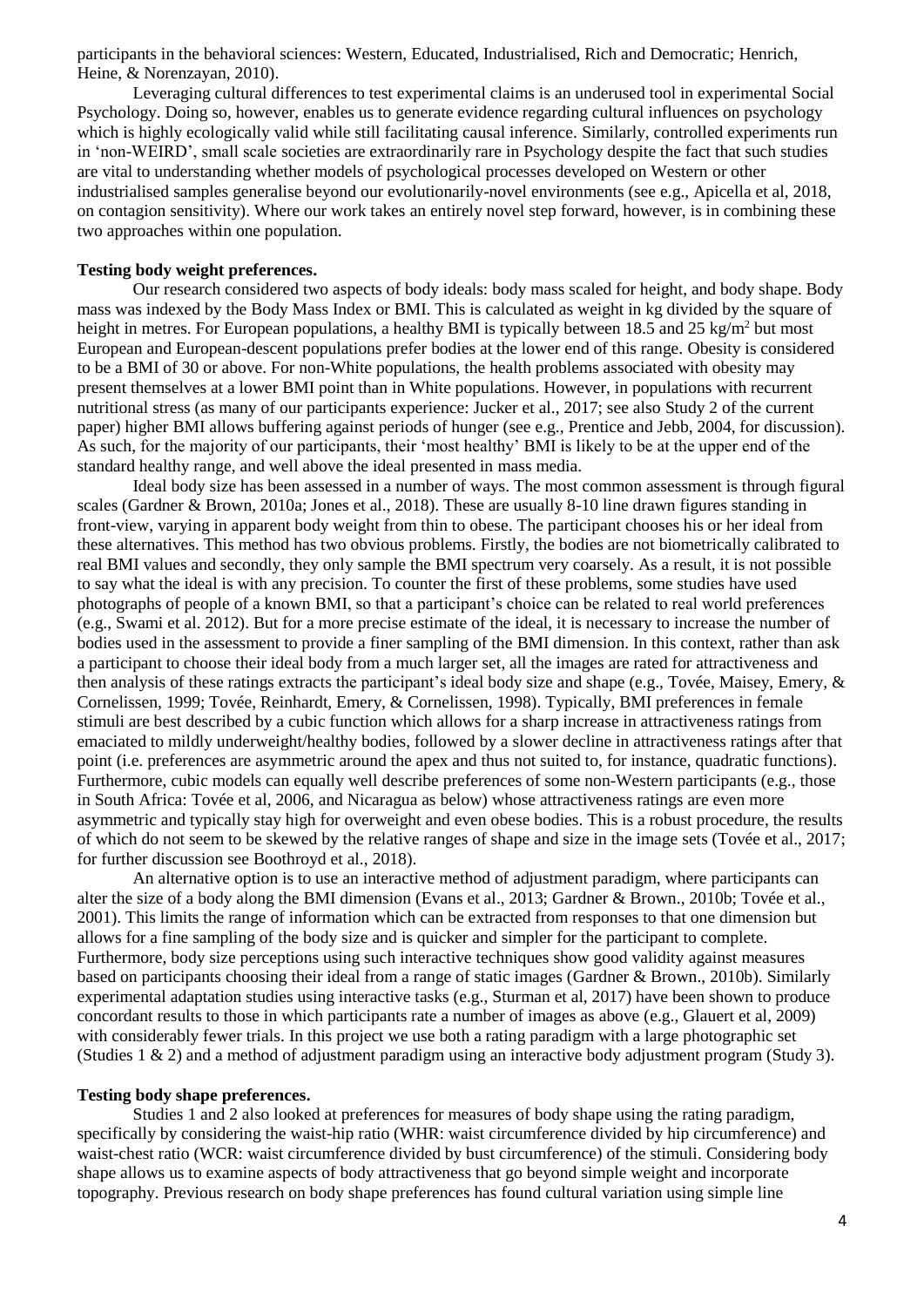participants in the behavioral sciences: Western, Educated, Industrialised, Rich and Democratic; Henrich, Heine, & Norenzayan, 2010).

Leveraging cultural differences to test experimental claims is an underused tool in experimental Social Psychology. Doing so, however, enables us to generate evidence regarding cultural influences on psychology which is highly ecologically valid while still facilitating causal inference. Similarly, controlled experiments run in 'non-WEIRD', small scale societies are extraordinarily rare in Psychology despite the fact that such studies are vital to understanding whether models of psychological processes developed on Western or other industrialised samples generalise beyond our evolutionarily-novel environments (see e.g., Apicella et al, 2018, on contagion sensitivity). Where our work takes an entirely novel step forward, however, is in combining these two approaches within one population.

### **Testing body weight preferences.**

Our research considered two aspects of body ideals: body mass scaled for height, and body shape. Body mass was indexed by the Body Mass Index or BMI. This is calculated as weight in kg divided by the square of height in metres. For European populations, a healthy BMI is typically between 18.5 and 25 kg/m<sup>2</sup> but most European and European-descent populations prefer bodies at the lower end of this range. Obesity is considered to be a BMI of 30 or above. For non-White populations, the health problems associated with obesity may present themselves at a lower BMI point than in White populations. However, in populations with recurrent nutritional stress (as many of our participants experience: Jucker et al., 2017; see also Study 2 of the current paper) higher BMI allows buffering against periods of hunger (see e.g., Prentice and Jebb, 2004, for discussion). As such, for the majority of our participants, their 'most healthy' BMI is likely to be at the upper end of the standard healthy range, and well above the ideal presented in mass media.

Ideal body size has been assessed in a number of ways. The most common assessment is through figural scales (Gardner & Brown, 2010a; Jones et al., 2018). These are usually 8-10 line drawn figures standing in front-view, varying in apparent body weight from thin to obese. The participant chooses his or her ideal from these alternatives. This method has two obvious problems. Firstly, the bodies are not biometrically calibrated to real BMI values and secondly, they only sample the BMI spectrum very coarsely. As a result, it is not possible to say what the ideal is with any precision. To counter the first of these problems, some studies have used photographs of people of a known BMI, so that a participant's choice can be related to real world preferences (e.g., Swami et al. 2012). But for a more precise estimate of the ideal, it is necessary to increase the number of bodies used in the assessment to provide a finer sampling of the BMI dimension. In this context, rather than ask a participant to choose their ideal body from a much larger set, all the images are rated for attractiveness and then analysis of these ratings extracts the participant's ideal body size and shape (e.g., Tovée, Maisey, Emery, & Cornelissen, 1999; Tovée, Reinhardt, Emery, & Cornelissen, 1998). Typically, BMI preferences in female stimuli are best described by a cubic function which allows for a sharp increase in attractiveness ratings from emaciated to mildly underweight/healthy bodies, followed by a slower decline in attractiveness ratings after that point (i.e. preferences are asymmetric around the apex and thus not suited to, for instance, quadratic functions). Furthermore, cubic models can equally well describe preferences of some non-Western participants (e.g., those in South Africa: Tovée et al, 2006, and Nicaragua as below) whose attractiveness ratings are even more asymmetric and typically stay high for overweight and even obese bodies. This is a robust procedure, the results of which do not seem to be skewed by the relative ranges of shape and size in the image sets (Tovée et al., 2017; for further discussion see Boothroyd et al., 2018).

An alternative option is to use an interactive method of adjustment paradigm, where participants can alter the size of a body along the BMI dimension (Evans et al., 2013; Gardner & Brown., 2010b; Tovée et al., 2001). This limits the range of information which can be extracted from responses to that one dimension but allows for a fine sampling of the body size and is quicker and simpler for the participant to complete. Furthermore, body size perceptions using such interactive techniques show good validity against measures based on participants choosing their ideal from a range of static images (Gardner & Brown., 2010b). Similarly experimental adaptation studies using interactive tasks (e.g., Sturman et al, 2017) have been shown to produce concordant results to those in which participants rate a number of images as above (e.g., Glauert et al, 2009) with considerably fewer trials. In this project we use both a rating paradigm with a large photographic set (Studies 1 & 2) and a method of adjustment paradigm using an interactive body adjustment program (Study 3).

## **Testing body shape preferences.**

Studies 1 and 2 also looked at preferences for measures of body shape using the rating paradigm, specifically by considering the waist-hip ratio (WHR: waist circumference divided by hip circumference) and waist-chest ratio (WCR: waist circumference divided by bust circumference) of the stimuli. Considering body shape allows us to examine aspects of body attractiveness that go beyond simple weight and incorporate topography. Previous research on body shape preferences has found cultural variation using simple line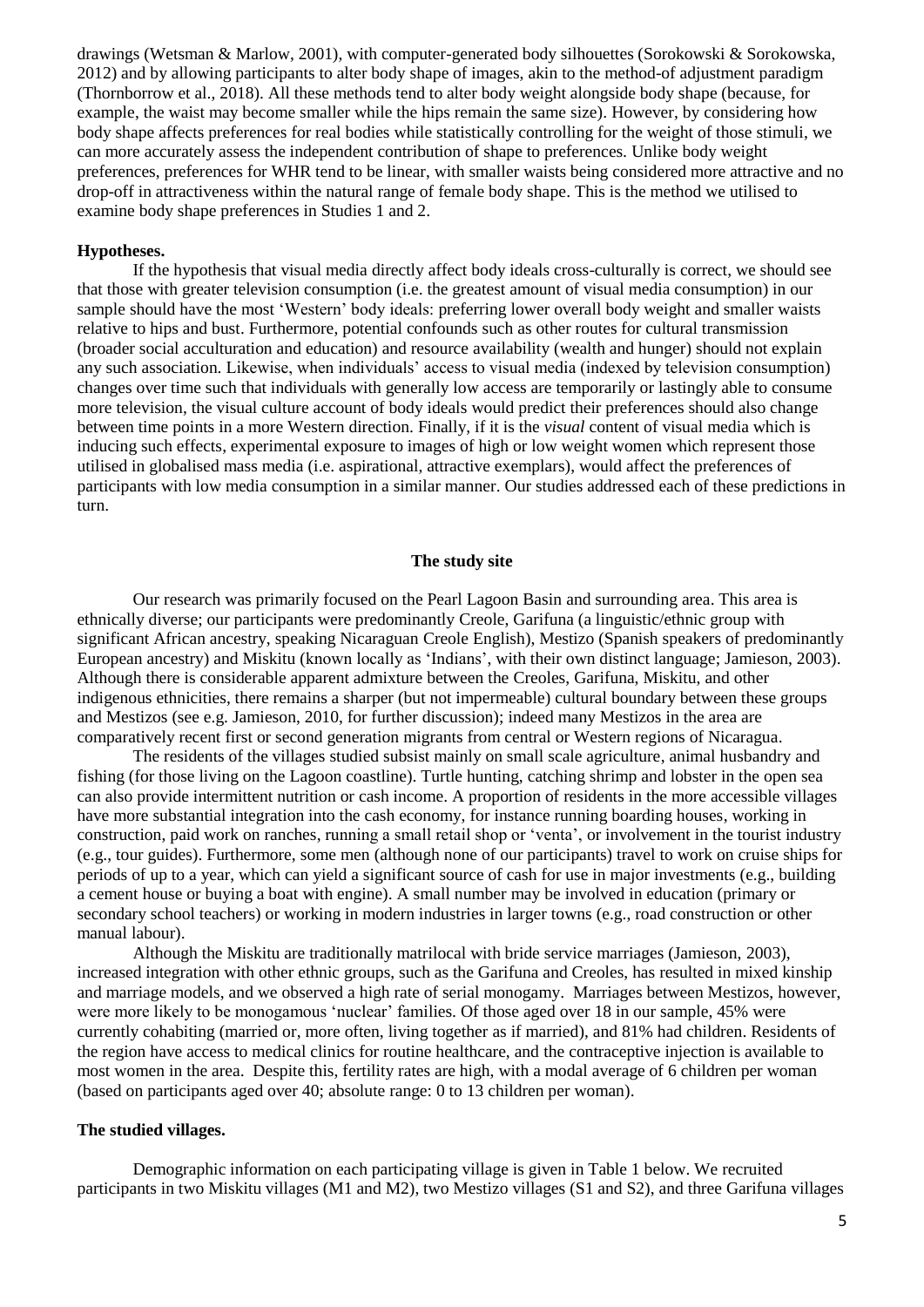drawings (Wetsman & Marlow, 2001), with computer-generated body silhouettes (Sorokowski & Sorokowska, 2012) and by allowing participants to alter body shape of images, akin to the method-of adjustment paradigm (Thornborrow et al., 2018). All these methods tend to alter body weight alongside body shape (because, for example, the waist may become smaller while the hips remain the same size). However, by considering how body shape affects preferences for real bodies while statistically controlling for the weight of those stimuli, we can more accurately assess the independent contribution of shape to preferences. Unlike body weight preferences, preferences for WHR tend to be linear, with smaller waists being considered more attractive and no drop-off in attractiveness within the natural range of female body shape. This is the method we utilised to examine body shape preferences in Studies 1 and 2.

#### **Hypotheses.**

If the hypothesis that visual media directly affect body ideals cross-culturally is correct, we should see that those with greater television consumption (i.e. the greatest amount of visual media consumption) in our sample should have the most 'Western' body ideals: preferring lower overall body weight and smaller waists relative to hips and bust. Furthermore, potential confounds such as other routes for cultural transmission (broader social acculturation and education) and resource availability (wealth and hunger) should not explain any such association. Likewise, when individuals' access to visual media (indexed by television consumption) changes over time such that individuals with generally low access are temporarily or lastingly able to consume more television, the visual culture account of body ideals would predict their preferences should also change between time points in a more Western direction. Finally, if it is the *visual* content of visual media which is inducing such effects, experimental exposure to images of high or low weight women which represent those utilised in globalised mass media (i.e. aspirational, attractive exemplars), would affect the preferences of participants with low media consumption in a similar manner. Our studies addressed each of these predictions in turn.

#### **The study site**

Our research was primarily focused on the Pearl Lagoon Basin and surrounding area. This area is ethnically diverse; our participants were predominantly Creole, Garifuna (a linguistic/ethnic group with significant African ancestry, speaking Nicaraguan Creole English), Mestizo (Spanish speakers of predominantly European ancestry) and Miskitu (known locally as 'Indians', with their own distinct language; Jamieson, 2003). Although there is considerable apparent admixture between the Creoles, Garifuna, Miskitu, and other indigenous ethnicities, there remains a sharper (but not impermeable) cultural boundary between these groups and Mestizos (see e.g. Jamieson, 2010, for further discussion); indeed many Mestizos in the area are comparatively recent first or second generation migrants from central or Western regions of Nicaragua.

The residents of the villages studied subsist mainly on small scale agriculture, animal husbandry and fishing (for those living on the Lagoon coastline). Turtle hunting, catching shrimp and lobster in the open sea can also provide intermittent nutrition or cash income. A proportion of residents in the more accessible villages have more substantial integration into the cash economy, for instance running boarding houses, working in construction, paid work on ranches, running a small retail shop or 'venta', or involvement in the tourist industry (e.g., tour guides). Furthermore, some men (although none of our participants) travel to work on cruise ships for periods of up to a year, which can yield a significant source of cash for use in major investments (e.g., building a cement house or buying a boat with engine). A small number may be involved in education (primary or secondary school teachers) or working in modern industries in larger towns (e.g., road construction or other manual labour).

Although the Miskitu are traditionally matrilocal with bride service marriages (Jamieson, 2003), increased integration with other ethnic groups, such as the Garifuna and Creoles, has resulted in mixed kinship and marriage models, and we observed a high rate of serial monogamy. Marriages between Mestizos, however, were more likely to be monogamous 'nuclear' families. Of those aged over 18 in our sample, 45% were currently cohabiting (married or, more often, living together as if married), and 81% had children. Residents of the region have access to medical clinics for routine healthcare, and the contraceptive injection is available to most women in the area. Despite this, fertility rates are high, with a modal average of 6 children per woman (based on participants aged over 40; absolute range: 0 to 13 children per woman).

### **The studied villages.**

Demographic information on each participating village is given in Table 1 below. We recruited participants in two Miskitu villages (M1 and M2), two Mestizo villages (S1 and S2), and three Garifuna villages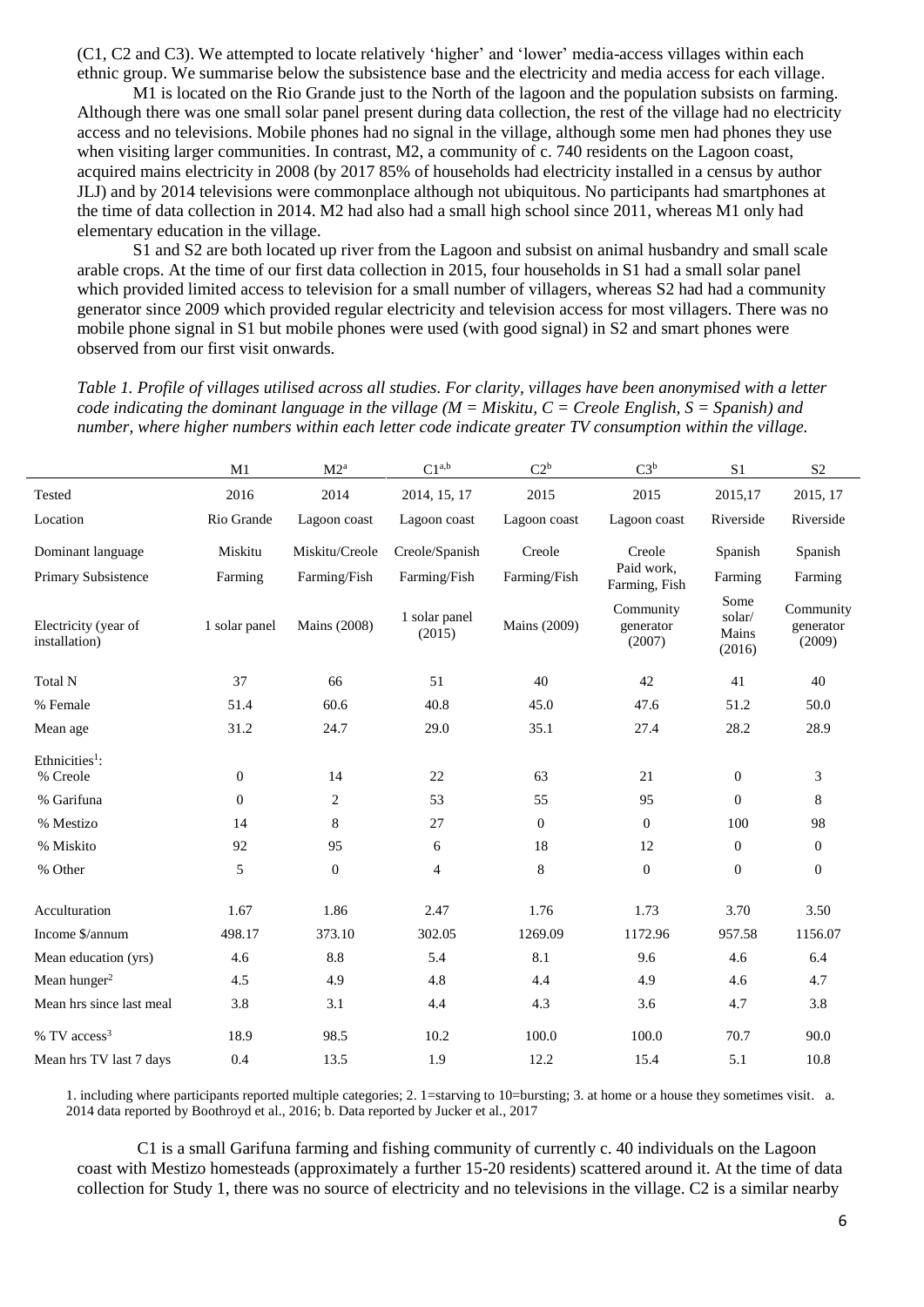(C1, C2 and C3). We attempted to locate relatively 'higher' and 'lower' media-access villages within each ethnic group. We summarise below the subsistence base and the electricity and media access for each village.

M1 is located on the Rio Grande just to the North of the lagoon and the population subsists on farming. Although there was one small solar panel present during data collection, the rest of the village had no electricity access and no televisions. Mobile phones had no signal in the village, although some men had phones they use when visiting larger communities. In contrast, M2, a community of c. 740 residents on the Lagoon coast, acquired mains electricity in 2008 (by 2017 85% of households had electricity installed in a census by author JLJ) and by 2014 televisions were commonplace although not ubiquitous. No participants had smartphones at the time of data collection in 2014. M2 had also had a small high school since 2011, whereas M1 only had elementary education in the village.

S1 and S2 are both located up river from the Lagoon and subsist on animal husbandry and small scale arable crops. At the time of our first data collection in 2015, four households in S1 had a small solar panel which provided limited access to television for a small number of villagers, whereas S2 had had a community generator since 2009 which provided regular electricity and television access for most villagers. There was no mobile phone signal in S1 but mobile phones were used (with good signal) in S2 and smart phones were observed from our first visit onwards.

*Table 1. Profile of villages utilised across all studies. For clarity, villages have been anonymised with a letter code indicating the dominant language in the village (M = Miskitu, C = Creole English, S = Spanish) and number, where higher numbers within each letter code indicate greater TV consumption within the village.*

|                                        | M1             | $C1^{a,b}$<br>C2 <sup>b</sup><br>M2 <sup>a</sup> |                         |                                                  | $C3^b$                      | S1                                | $\mathbf{S}2$                    |
|----------------------------------------|----------------|--------------------------------------------------|-------------------------|--------------------------------------------------|-----------------------------|-----------------------------------|----------------------------------|
| Tested                                 | 2016           | 2014                                             | 2014, 15, 17            | 2015                                             | 2015                        | 2015,17                           | 2015, 17                         |
| Location                               | Rio Grande     | Lagoon coast                                     | Lagoon coast            | Lagoon coast                                     | Lagoon coast                | Riverside                         | Riverside                        |
| Dominant language                      | Miskitu        | Miskitu/Creole                                   | Creole/Spanish          | Creole                                           | Creole                      | Spanish                           | Spanish                          |
| Primary Subsistence                    | Farming        | Farming/Fish                                     | Farming/Fish            | Farming/Fish                                     | Paid work,<br>Farming, Fish | Farming                           | Farming                          |
| Electricity (year of<br>installation)  | 1 solar panel  | Mains (2008)                                     | 1 solar panel<br>(2015) | Community<br>Mains (2009)<br>generator<br>(2007) |                             | Some<br>solar/<br>Mains<br>(2016) | Community<br>generator<br>(2009) |
| Total N                                | 37             | 66                                               | 51                      | 40                                               | 42                          | 41                                | 40                               |
| % Female                               | 51.4           | 60.6                                             | 40.8                    | 45.0                                             | 47.6                        | 51.2                              | 50.0                             |
| Mean age                               | 31.2           | 24.7                                             | 29.0                    | 35.1                                             | 27.4                        | 28.2                              | 28.9                             |
| Ethnicities <sup>1</sup> :<br>% Creole | $\overline{0}$ | 14                                               | 22                      | 63                                               | 21                          | $\boldsymbol{0}$                  | 3                                |
| % Garifuna                             | $\overline{0}$ | $\overline{c}$                                   | 53                      | 55                                               | 95                          | $\boldsymbol{0}$                  | $\bf 8$                          |
| % Mestizo                              | 14             | 8                                                | 27                      | $\mathbf{0}$                                     | $\boldsymbol{0}$            | 100                               | 98                               |
| % Miskito                              | 92             | 95                                               | 6                       | 18                                               | 12                          | $\boldsymbol{0}$                  | $\mathbf{0}$                     |
| % Other                                | 5              | $\overline{0}$                                   | 4                       | $\,8\,$                                          | $\mathbf{0}$                | $\boldsymbol{0}$                  | $\boldsymbol{0}$                 |
| Acculturation                          | 1.67           | 1.86                                             | 2.47                    | 1.76                                             | 1.73                        | 3.70                              | 3.50                             |
| Income \$/annum                        | 498.17         | 373.10                                           | 302.05                  | 1269.09                                          | 1172.96                     | 957.58                            | 1156.07                          |
| Mean education (yrs)                   | 4.6            | 8.8                                              | 5.4                     | 8.1                                              | 9.6                         | 4.6                               | 6.4                              |
| Mean hunger <sup>2</sup>               | 4.5            | 4.9                                              | 4.8                     | 4.4                                              | 4.9                         | 4.6                               | 4.7                              |
| Mean hrs since last meal               | 3.8            | 3.1                                              | 4.4                     | 4.3                                              | 3.6                         | 4.7                               | 3.8                              |
| % TV access <sup>3</sup>               | 18.9           | 98.5                                             | 10.2                    | 100.0                                            | 100.0                       | 70.7                              | 90.0                             |
| Mean hrs TV last 7 days                | 0.4            | 13.5                                             | 1.9                     | 12.2                                             | 15.4                        | 5.1                               | 10.8                             |

1. including where participants reported multiple categories; 2. 1=starving to 10=bursting; 3. at home or a house they sometimes visit. a. 2014 data reported by Boothroyd et al., 2016; b. Data reported by Jucker et al., 2017

C1 is a small Garifuna farming and fishing community of currently c. 40 individuals on the Lagoon coast with Mestizo homesteads (approximately a further 15-20 residents) scattered around it. At the time of data collection for Study 1, there was no source of electricity and no televisions in the village. C2 is a similar nearby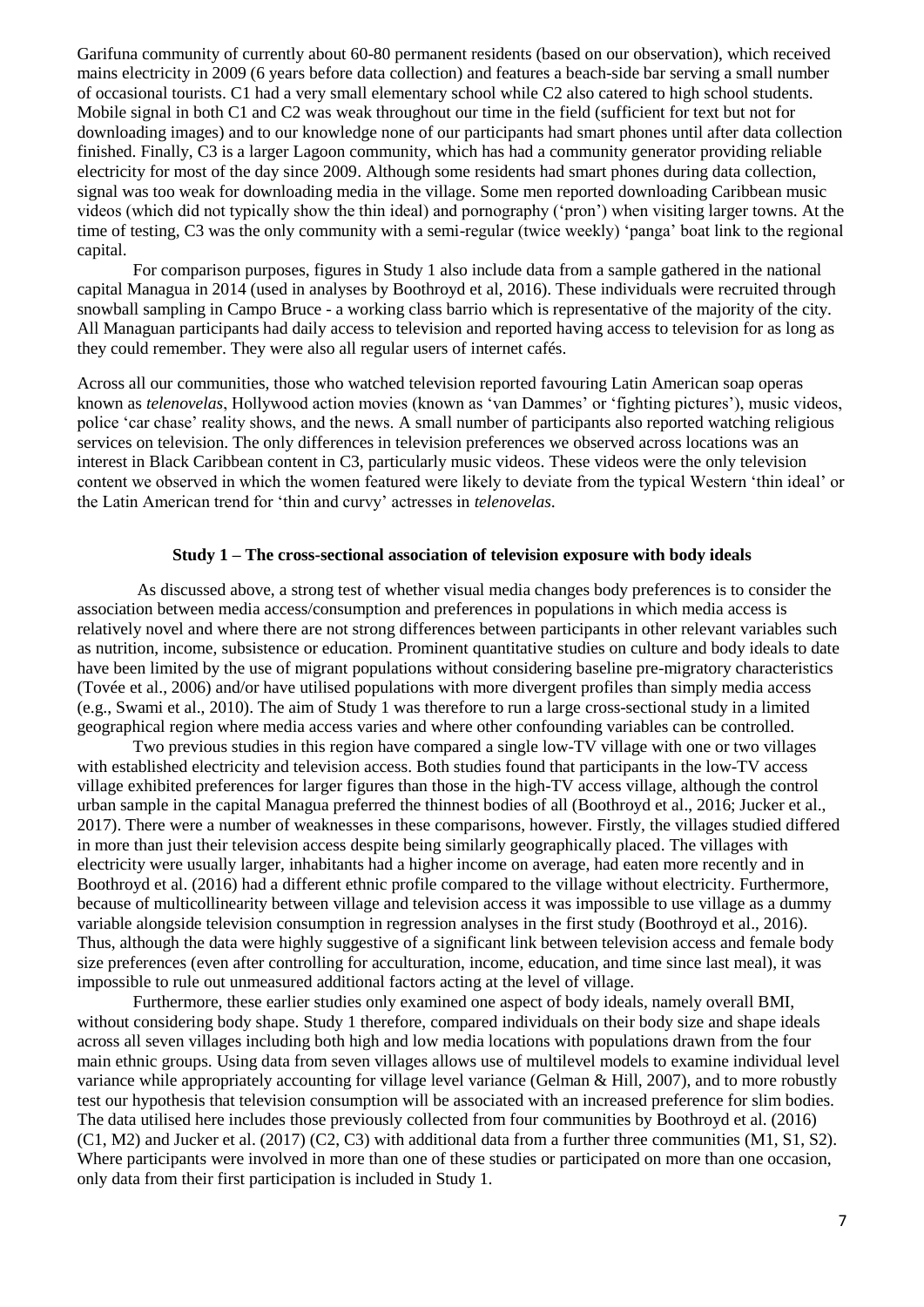Garifuna community of currently about 60-80 permanent residents (based on our observation), which received mains electricity in 2009 (6 years before data collection) and features a beach-side bar serving a small number of occasional tourists. C1 had a very small elementary school while C2 also catered to high school students. Mobile signal in both C1 and C2 was weak throughout our time in the field (sufficient for text but not for downloading images) and to our knowledge none of our participants had smart phones until after data collection finished. Finally, C3 is a larger Lagoon community, which has had a community generator providing reliable electricity for most of the day since 2009. Although some residents had smart phones during data collection, signal was too weak for downloading media in the village. Some men reported downloading Caribbean music videos (which did not typically show the thin ideal) and pornography ('pron') when visiting larger towns. At the time of testing, C3 was the only community with a semi-regular (twice weekly) 'panga' boat link to the regional capital.

For comparison purposes, figures in Study 1 also include data from a sample gathered in the national capital Managua in 2014 (used in analyses by Boothroyd et al, 2016). These individuals were recruited through snowball sampling in Campo Bruce - a working class barrio which is representative of the majority of the city. All Managuan participants had daily access to television and reported having access to television for as long as they could remember. They were also all regular users of internet cafés.

Across all our communities, those who watched television reported favouring Latin American soap operas known as *telenovelas*, Hollywood action movies (known as 'van Dammes' or 'fighting pictures'), music videos, police 'car chase' reality shows, and the news. A small number of participants also reported watching religious services on television. The only differences in television preferences we observed across locations was an interest in Black Caribbean content in C3, particularly music videos. These videos were the only television content we observed in which the women featured were likely to deviate from the typical Western 'thin ideal' or the Latin American trend for 'thin and curvy' actresses in *telenovelas*.

## **Study 1 – The cross-sectional association of television exposure with body ideals**

As discussed above, a strong test of whether visual media changes body preferences is to consider the association between media access/consumption and preferences in populations in which media access is relatively novel and where there are not strong differences between participants in other relevant variables such as nutrition, income, subsistence or education. Prominent quantitative studies on culture and body ideals to date have been limited by the use of migrant populations without considering baseline pre-migratory characteristics (Tovée et al., 2006) and/or have utilised populations with more divergent profiles than simply media access (e.g., Swami et al., 2010). The aim of Study 1 was therefore to run a large cross-sectional study in a limited geographical region where media access varies and where other confounding variables can be controlled.

Two previous studies in this region have compared a single low-TV village with one or two villages with established electricity and television access. Both studies found that participants in the low-TV access village exhibited preferences for larger figures than those in the high-TV access village, although the control urban sample in the capital Managua preferred the thinnest bodies of all (Boothroyd et al., 2016; Jucker et al., 2017). There were a number of weaknesses in these comparisons, however. Firstly, the villages studied differed in more than just their television access despite being similarly geographically placed. The villages with electricity were usually larger, inhabitants had a higher income on average, had eaten more recently and in Boothroyd et al. (2016) had a different ethnic profile compared to the village without electricity. Furthermore, because of multicollinearity between village and television access it was impossible to use village as a dummy variable alongside television consumption in regression analyses in the first study (Boothroyd et al., 2016). Thus, although the data were highly suggestive of a significant link between television access and female body size preferences (even after controlling for acculturation, income, education, and time since last meal), it was impossible to rule out unmeasured additional factors acting at the level of village.

Furthermore, these earlier studies only examined one aspect of body ideals, namely overall BMI, without considering body shape. Study 1 therefore, compared individuals on their body size and shape ideals across all seven villages including both high and low media locations with populations drawn from the four main ethnic groups. Using data from seven villages allows use of multilevel models to examine individual level variance while appropriately accounting for village level variance (Gelman & Hill, 2007), and to more robustly test our hypothesis that television consumption will be associated with an increased preference for slim bodies. The data utilised here includes those previously collected from four communities by Boothroyd et al. (2016)  $(C1, M2)$  and Jucker et al. (2017)  $(C2, C3)$  with additional data from a further three communities (M1, S1, S2). Where participants were involved in more than one of these studies or participated on more than one occasion, only data from their first participation is included in Study 1.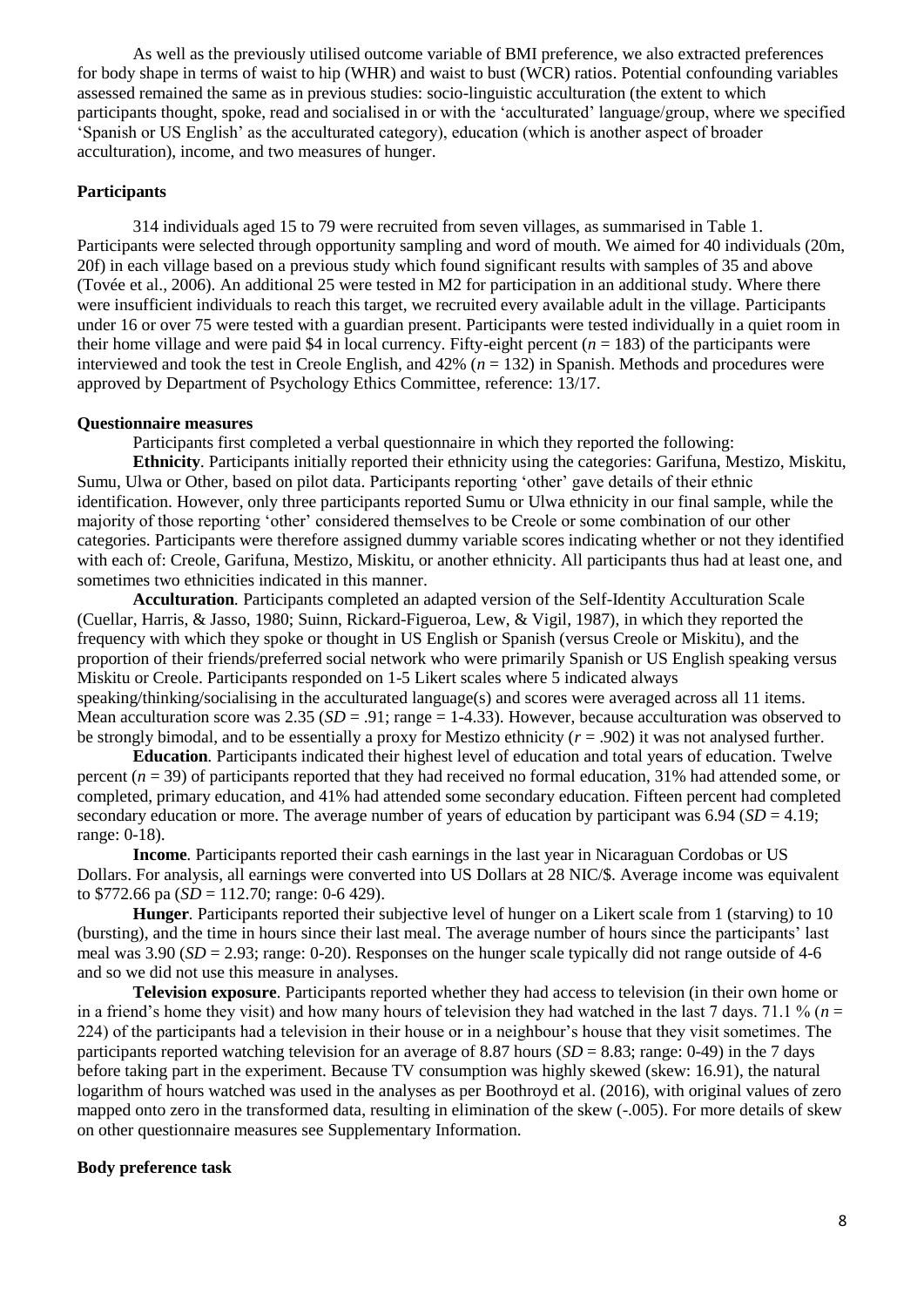As well as the previously utilised outcome variable of BMI preference, we also extracted preferences for body shape in terms of waist to hip (WHR) and waist to bust (WCR) ratios. Potential confounding variables assessed remained the same as in previous studies: socio-linguistic acculturation (the extent to which participants thought, spoke, read and socialised in or with the 'acculturated' language/group, where we specified 'Spanish or US English' as the acculturated category), education (which is another aspect of broader acculturation), income, and two measures of hunger.

### **Participants**

314 individuals aged 15 to 79 were recruited from seven villages, as summarised in Table 1. Participants were selected through opportunity sampling and word of mouth. We aimed for 40 individuals (20m, 20f) in each village based on a previous study which found significant results with samples of 35 and above (Tovée et al., 2006). An additional 25 were tested in M2 for participation in an additional study. Where there were insufficient individuals to reach this target, we recruited every available adult in the village. Participants under 16 or over 75 were tested with a guardian present. Participants were tested individually in a quiet room in their home village and were paid \$4 in local currency. Fifty-eight percent  $(n = 183)$  of the participants were interviewed and took the test in Creole English, and 42% (*n* = 132) in Spanish. Methods and procedures were approved by Department of Psychology Ethics Committee, reference: 13/17.

## **Questionnaire measures**

Participants first completed a verbal questionnaire in which they reported the following:

**Ethnicity***.* Participants initially reported their ethnicity using the categories: Garifuna, Mestizo, Miskitu, Sumu, Ulwa or Other, based on pilot data. Participants reporting 'other' gave details of their ethnic identification. However, only three participants reported Sumu or Ulwa ethnicity in our final sample, while the majority of those reporting 'other' considered themselves to be Creole or some combination of our other categories. Participants were therefore assigned dummy variable scores indicating whether or not they identified with each of: Creole, Garifuna, Mestizo, Miskitu, or another ethnicity. All participants thus had at least one, and sometimes two ethnicities indicated in this manner.

**Acculturation***.* Participants completed an adapted version of the Self-Identity Acculturation Scale (Cuellar, Harris, & Jasso, 1980; Suinn, Rickard-Figueroa, Lew, & Vigil, 1987), in which they reported the frequency with which they spoke or thought in US English or Spanish (versus Creole or Miskitu), and the proportion of their friends/preferred social network who were primarily Spanish or US English speaking versus Miskitu or Creole. Participants responded on 1-5 Likert scales where 5 indicated always speaking/thinking/socialising in the acculturated language(s) and scores were averaged across all 11 items. Mean acculturation score was  $2.35$  ( $SD = .91$ ; range  $= 1-4.33$ ). However, because acculturation was observed to be strongly bimodal, and to be essentially a proxy for Mestizo ethnicity  $(r = .902)$  it was not analysed further.

**Education***.* Participants indicated their highest level of education and total years of education. Twelve percent  $(n = 39)$  of participants reported that they had received no formal education,  $31\%$  had attended some, or completed, primary education, and 41% had attended some secondary education. Fifteen percent had completed secondary education or more. The average number of years of education by participant was  $6.94$  (*SD* = 4.19; range: 0-18).

**Income***.* Participants reported their cash earnings in the last year in Nicaraguan Cordobas or US Dollars. For analysis, all earnings were converted into US Dollars at 28 NIC/\$. Average income was equivalent to \$772.66 pa  $(SD = 112.70$ ; range: 0-6 429).

**Hunger***.* Participants reported their subjective level of hunger on a Likert scale from 1 (starving) to 10 (bursting), and the time in hours since their last meal. The average number of hours since the participants' last meal was 3.90 (*SD* = 2.93; range: 0-20). Responses on the hunger scale typically did not range outside of 4-6 and so we did not use this measure in analyses.

**Television exposure**. Participants reported whether they had access to television (in their own home or in a friend's home they visit) and how many hours of television they had watched in the last 7 days. 71.1 % ( $n =$ 224) of the participants had a television in their house or in a neighbour's house that they visit sometimes. The participants reported watching television for an average of 8.87 hours ( $SD = 8.83$ ; range: 0-49) in the 7 days before taking part in the experiment. Because TV consumption was highly skewed (skew: 16.91), the natural logarithm of hours watched was used in the analyses as per Boothroyd et al. (2016), with original values of zero mapped onto zero in the transformed data, resulting in elimination of the skew (-.005). For more details of skew on other questionnaire measures see Supplementary Information.

### **Body preference task**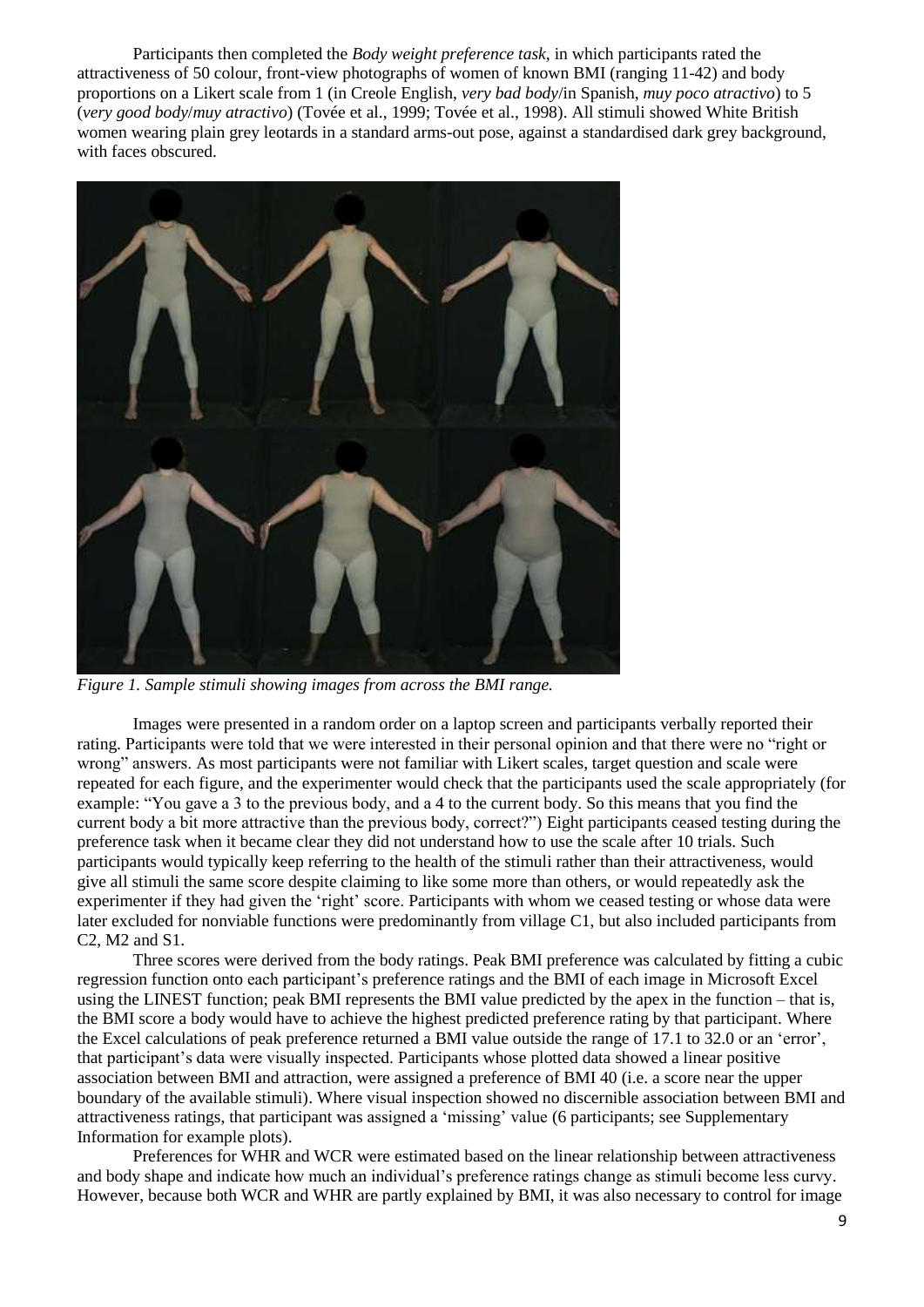Participants then completed the *Body weight preference task,* in which participants rated the attractiveness of 50 colour, front-view photographs of women of known BMI (ranging 11-42) and body proportions on a Likert scale from 1 (in Creole English, *very bad body*/in Spanish, *muy poco atractivo*) to 5 (*very good body*/*muy atractivo*) (Tovée et al., 1999; Tovée et al., 1998). All stimuli showed White British women wearing plain grey leotards in a standard arms-out pose, against a standardised dark grey background, with faces obscured.



*Figure 1. Sample stimuli showing images from across the BMI range.*

Images were presented in a random order on a laptop screen and participants verbally reported their rating. Participants were told that we were interested in their personal opinion and that there were no "right or wrong" answers. As most participants were not familiar with Likert scales, target question and scale were repeated for each figure, and the experimenter would check that the participants used the scale appropriately (for example: "You gave a 3 to the previous body, and a 4 to the current body. So this means that you find the current body a bit more attractive than the previous body, correct?") Eight participants ceased testing during the preference task when it became clear they did not understand how to use the scale after 10 trials. Such participants would typically keep referring to the health of the stimuli rather than their attractiveness, would give all stimuli the same score despite claiming to like some more than others, or would repeatedly ask the experimenter if they had given the 'right' score. Participants with whom we ceased testing or whose data were later excluded for nonviable functions were predominantly from village C1, but also included participants from C2, M2 and S1.

Three scores were derived from the body ratings. Peak BMI preference was calculated by fitting a cubic regression function onto each participant's preference ratings and the BMI of each image in Microsoft Excel using the LINEST function; peak BMI represents the BMI value predicted by the apex in the function – that is, the BMI score a body would have to achieve the highest predicted preference rating by that participant. Where the Excel calculations of peak preference returned a BMI value outside the range of 17.1 to 32.0 or an 'error', that participant's data were visually inspected. Participants whose plotted data showed a linear positive association between BMI and attraction, were assigned a preference of BMI 40 (i.e. a score near the upper boundary of the available stimuli). Where visual inspection showed no discernible association between BMI and attractiveness ratings, that participant was assigned a 'missing' value (6 participants; see Supplementary Information for example plots).

Preferences for WHR and WCR were estimated based on the linear relationship between attractiveness and body shape and indicate how much an individual's preference ratings change as stimuli become less curvy. However, because both WCR and WHR are partly explained by BMI, it was also necessary to control for image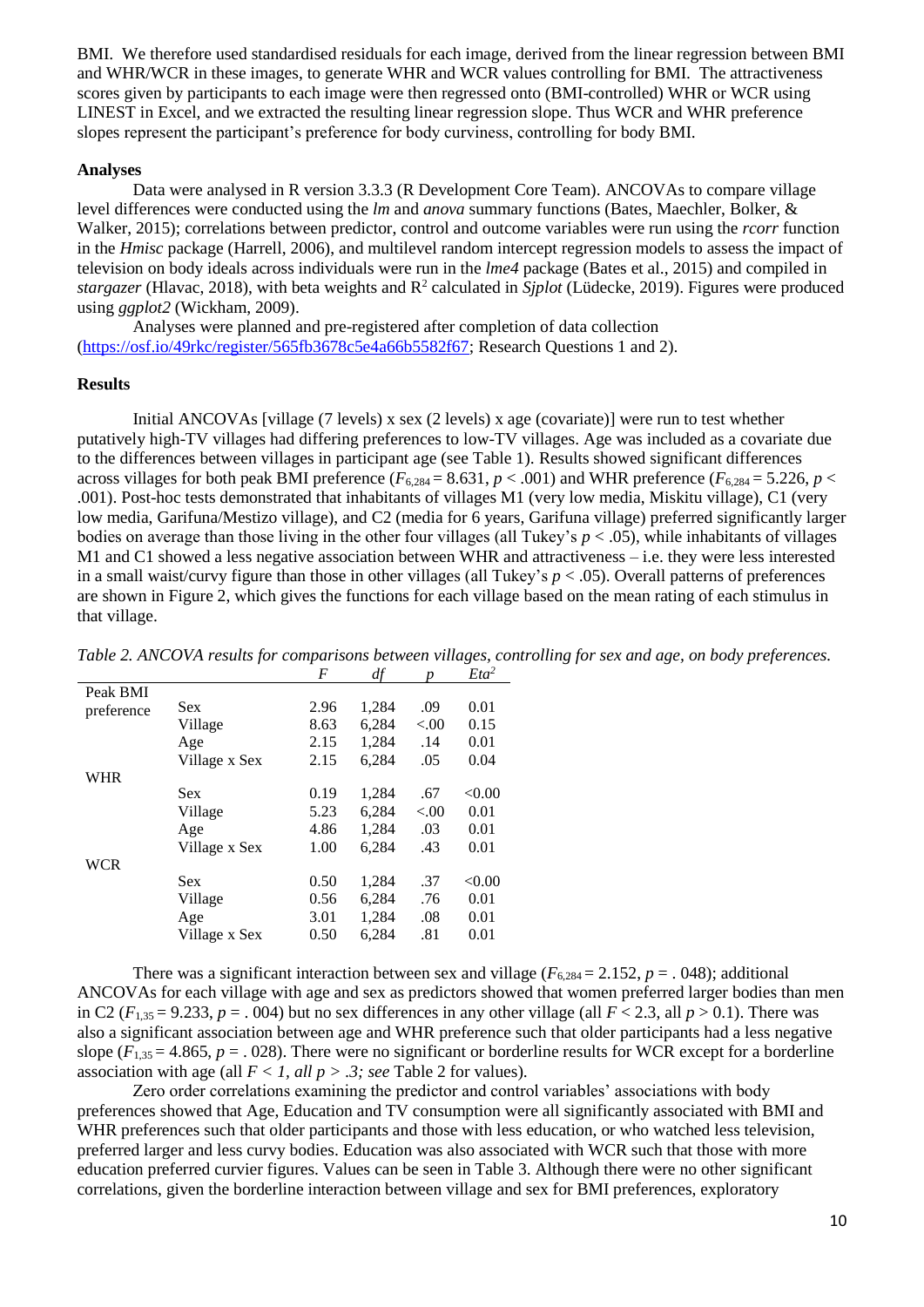BMI. We therefore used standardised residuals for each image, derived from the linear regression between BMI and WHR/WCR in these images, to generate WHR and WCR values controlling for BMI. The attractiveness scores given by participants to each image were then regressed onto (BMI-controlled) WHR or WCR using LINEST in Excel, and we extracted the resulting linear regression slope. Thus WCR and WHR preference slopes represent the participant's preference for body curviness, controlling for body BMI.

### **Analyses**

Data were analysed in R version 3.3.3 (R Development Core Team). ANCOVAs to compare village level differences were conducted using the *lm* and *anova* summary functions (Bates, Maechler, Bolker, & Walker, 2015); correlations between predictor, control and outcome variables were run using the *rcorr* function in the *Hmisc* package (Harrell, 2006), and multilevel random intercept regression models to assess the impact of television on body ideals across individuals were run in the *lme4* package (Bates et al., 2015) and compiled in stargazer (Hlavac, 2018), with beta weights and R<sup>2</sup> calculated in *Sjplot* (Lüdecke, 2019). Figures were produced using *ggplot2* (Wickham, 2009).

Analyses were planned and pre-registered after completion of data collection [\(https://osf.io/49rkc/register/565fb3678c5e4a66b5582f67;](https://osf.io/49rkc/register/565fb3678c5e4a66b5582f67) Research Questions 1 and 2).

### **Results**

Initial ANCOVAs [village (7 levels) x sex (2 levels) x age (covariate)] were run to test whether putatively high-TV villages had differing preferences to low-TV villages. Age was included as a covariate due to the differences between villages in participant age (see Table 1). Results showed significant differences across villages for both peak BMI preference ( $F_{6,284} = 8.631$ ,  $p < .001$ ) and WHR preference ( $F_{6,284} = 5.226$ ,  $p < .001$ ) .001). Post-hoc tests demonstrated that inhabitants of villages M1 (very low media, Miskitu village), C1 (very low media, Garifuna/Mestizo village), and C2 (media for 6 years, Garifuna village) preferred significantly larger bodies on average than those living in the other four villages (all Tukey's  $p < .05$ ), while inhabitants of villages M1 and C1 showed a less negative association between WHR and attractiveness – i.e. they were less interested in a small waist/curvy figure than those in other villages (all Tukey's  $p < .05$ ). Overall patterns of preferences are shown in Figure 2, which gives the functions for each village based on the mean rating of each stimulus in that village.

|            |               | $\mathbf{r}$ | ш     |         | Lu     |
|------------|---------------|--------------|-------|---------|--------|
| Peak BMI   |               |              |       |         |        |
| preference | <b>Sex</b>    | 2.96         | 1,284 | .09     | 0.01   |
|            | Village       | 8.63         | 6,284 | ${<}00$ | 0.15   |
|            | Age           | 2.15         | 1,284 | .14     | 0.01   |
|            | Village x Sex | 2.15         | 6.284 | .05     | 0.04   |
| WHR        |               |              |       |         |        |
|            | <b>Sex</b>    | 0.19         | 1,284 | .67     | < 0.00 |
|            | Village       | 5.23         | 6,284 | ${<}00$ | 0.01   |
|            | Age           | 4.86         | 1,284 | .03     | 0.01   |
|            | Village x Sex | 1.00         | 6.284 | .43     | 0.01   |
| <b>WCR</b> |               |              |       |         |        |
|            | <b>Sex</b>    | 0.50         | 1,284 | .37     | < 0.00 |
|            | Village       | 0.56         | 6,284 | .76     | 0.01   |
|            | Age           | 3.01         | 1,284 | .08     | 0.01   |
|            | Village x Sex | 0.50         | 6,284 | .81     | 0.01   |
|            |               |              |       |         |        |

*Table 2. ANCOVA results for comparisons between villages, controlling for sex and age, on body preferences.*<br>F df n Fta<sup>2</sup>  $\frac{E}{\epsilon}$  *p*  $\frac{E}{\epsilon}$ 

There was a significant interaction between sex and village  $(F_{6,284} = 2.152, p = .048)$ ; additional ANCOVAs for each village with age and sex as predictors showed that women preferred larger bodies than men in C2 ( $F_{1,35} = 9.233$ ,  $p = .004$ ) but no sex differences in any other village (all  $F < 2.3$ , all  $p > 0.1$ ). There was also a significant association between age and WHR preference such that older participants had a less negative slope  $(F_{1,35} = 4.865, p = .028)$ . There were no significant or borderline results for WCR except for a borderline association with age (all *F < 1, all p > .3; see* Table 2 for values).

Zero order correlations examining the predictor and control variables' associations with body preferences showed that Age, Education and TV consumption were all significantly associated with BMI and WHR preferences such that older participants and those with less education, or who watched less television, preferred larger and less curvy bodies. Education was also associated with WCR such that those with more education preferred curvier figures. Values can be seen in Table 3. Although there were no other significant correlations, given the borderline interaction between village and sex for BMI preferences, exploratory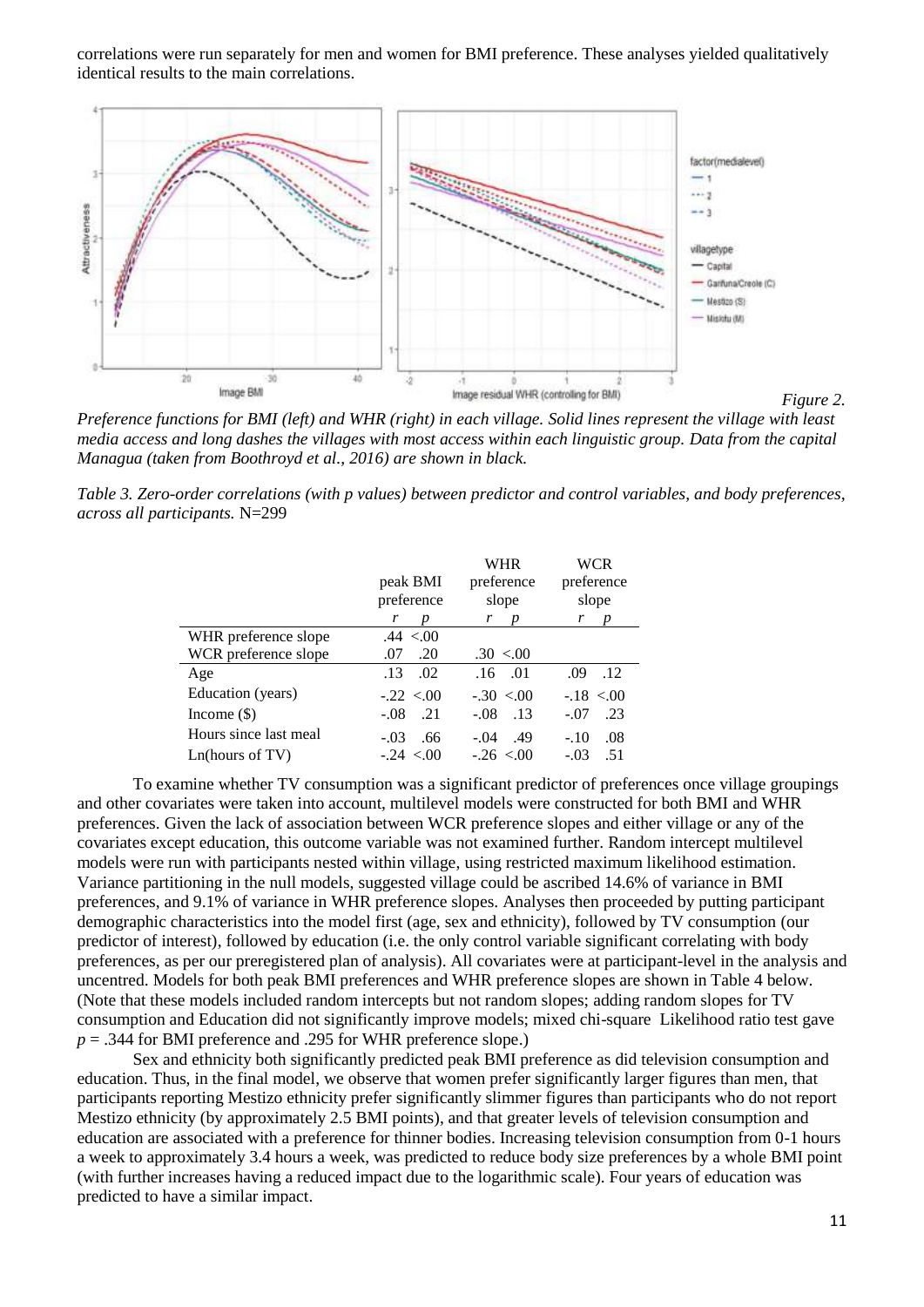correlations were run separately for men and women for BMI preference. These analyses yielded qualitatively identical results to the main correlations.



*Preference functions for BMI (left) and WHR (right) in each village. Solid lines represent the village with least media access and long dashes the villages with most access within each linguistic group. Data from the capital Managua (taken from Boothroyd et al., 2016) are shown in black.*

*Table 3. Zero-order correlations (with p values) between predictor and control variables, and body preferences, across all participants.* N=299

|                       |               | WHR                        | <b>WCR</b>    |  |
|-----------------------|---------------|----------------------------|---------------|--|
|                       | peak BMI      | preference                 | preference    |  |
|                       | preference    | slope                      | slope         |  |
|                       | r<br>D        | $r$ $p$                    | r<br>D        |  |
| WHR preference slope  | .44 < 00      |                            |               |  |
| WCR preference slope  | .20<br>.07    | $.30 \le 0.00$             |               |  |
| Age                   | .02<br>.13    | $.16$ $.01$                | .09<br>.12    |  |
| Education (years)     | $-.22 < 0.00$ | $-.30 < 0.00$              | $-.18 < 0.00$ |  |
| Income $(\$)$         | .21<br>$-.08$ | $\overline{.13}$<br>$-.08$ | $-.07$<br>.23 |  |
| Hours since last meal | .66<br>$-.03$ | $-.04$<br>.49              | $-.10$<br>.08 |  |
| Ln(hours of TV)       | $-.24 < 00$   | $-.26 < 00$                | .51<br>$-.03$ |  |

To examine whether TV consumption was a significant predictor of preferences once village groupings and other covariates were taken into account, multilevel models were constructed for both BMI and WHR preferences. Given the lack of association between WCR preference slopes and either village or any of the covariates except education, this outcome variable was not examined further. Random intercept multilevel models were run with participants nested within village, using restricted maximum likelihood estimation. Variance partitioning in the null models, suggested village could be ascribed 14.6% of variance in BMI preferences, and 9.1% of variance in WHR preference slopes. Analyses then proceeded by putting participant demographic characteristics into the model first (age, sex and ethnicity), followed by TV consumption (our predictor of interest), followed by education (i.e. the only control variable significant correlating with body preferences, as per our preregistered plan of analysis). All covariates were at participant-level in the analysis and uncentred. Models for both peak BMI preferences and WHR preference slopes are shown in Table 4 below. (Note that these models included random intercepts but not random slopes; adding random slopes for TV consumption and Education did not significantly improve models; mixed chi-square Likelihood ratio test gave  $p = .344$  for BMI preference and .295 for WHR preference slope.)

Sex and ethnicity both significantly predicted peak BMI preference as did television consumption and education. Thus, in the final model, we observe that women prefer significantly larger figures than men, that participants reporting Mestizo ethnicity prefer significantly slimmer figures than participants who do not report Mestizo ethnicity (by approximately 2.5 BMI points), and that greater levels of television consumption and education are associated with a preference for thinner bodies. Increasing television consumption from 0-1 hours a week to approximately 3.4 hours a week, was predicted to reduce body size preferences by a whole BMI point (with further increases having a reduced impact due to the logarithmic scale). Four years of education was predicted to have a similar impact.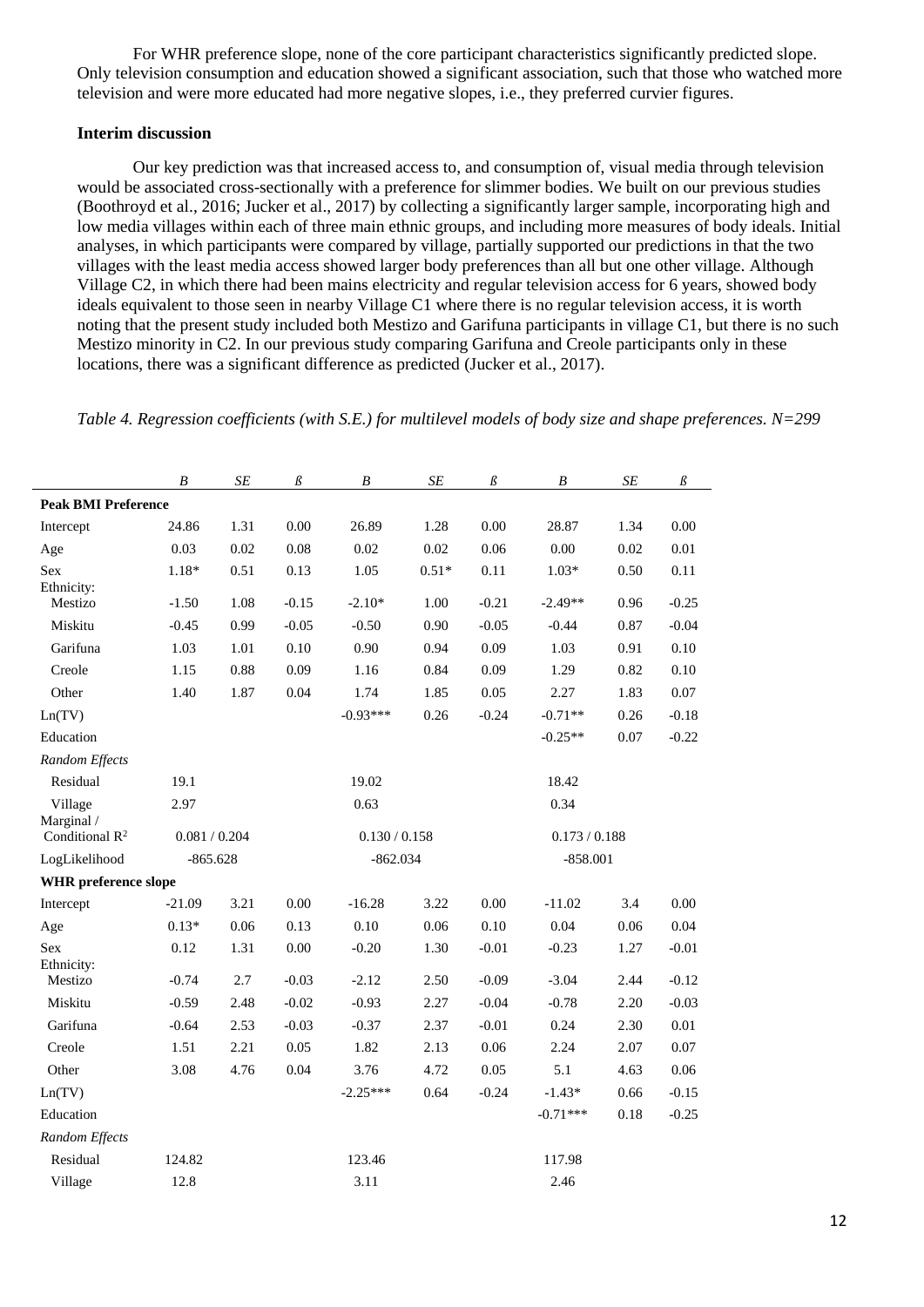For WHR preference slope, none of the core participant characteristics significantly predicted slope. Only television consumption and education showed a significant association, such that those who watched more television and were more educated had more negative slopes, i.e., they preferred curvier figures.

## **Interim discussion**

Our key prediction was that increased access to, and consumption of, visual media through television would be associated cross-sectionally with a preference for slimmer bodies. We built on our previous studies (Boothroyd et al., 2016; Jucker et al., 2017) by collecting a significantly larger sample, incorporating high and low media villages within each of three main ethnic groups, and including more measures of body ideals. Initial analyses, in which participants were compared by village, partially supported our predictions in that the two villages with the least media access showed larger body preferences than all but one other village. Although Village C2, in which there had been mains electricity and regular television access for 6 years, showed body ideals equivalent to those seen in nearby Village C1 where there is no regular television access, it is worth noting that the present study included both Mestizo and Garifuna participants in village C1, but there is no such Mestizo minority in C2. In our previous study comparing Garifuna and Creole participants only in these locations, there was a significant difference as predicted (Jucker et al., 2017).

*Table 4. Regression coefficients (with S.E.) for multilevel models of body size and shape preferences. N=299*

|                                 | $\boldsymbol{B}$ | SE   | $\beta$       | $\boldsymbol{B}$ | SE         | $\beta$ | $\boldsymbol{B}$ | $\cal SE$  | $\beta$  |  |  |
|---------------------------------|------------------|------|---------------|------------------|------------|---------|------------------|------------|----------|--|--|
| <b>Peak BMI Preference</b>      |                  |      |               |                  |            |         |                  |            |          |  |  |
| Intercept                       | 24.86            | 1.31 | 0.00          | 26.89            | 1.28       | 0.00    | 28.87            | 1.34       | 0.00     |  |  |
| Age                             | 0.03             | 0.02 | 0.08          | 0.02             | 0.02       | 0.06    | 0.00             | 0.02       | 0.01     |  |  |
| Sex<br>Ethnicity:               | $1.18*$          | 0.51 | 0.13          | 1.05             | $0.51*$    | 0.11    | $1.03*$          | 0.50       | 0.11     |  |  |
| Mestizo                         | $-1.50$          | 1.08 | $-0.15$       | $-2.10*$         | 1.00       | $-0.21$ | $-2.49**$        | 0.96       | $-0.25$  |  |  |
| Miskitu                         | $-0.45$          | 0.99 | $-0.05$       | $-0.50$          | 0.90       | $-0.05$ | $-0.44$          | 0.87       | $-0.04$  |  |  |
| Garifuna                        | 1.03             | 1.01 | 0.10          | 0.90             | 0.94       | 0.09    | 1.03             | 0.91       | 0.10     |  |  |
| Creole                          | 1.15             | 0.88 | 0.09          | 1.16             | 0.84       | 0.09    | 1.29             | 0.82       | $0.10\,$ |  |  |
| Other                           | 1.40             | 1.87 | 0.04          | 1.74             | 1.85       | 0.05    | 2.27             | 1.83       | 0.07     |  |  |
| Ln(TV)                          |                  |      |               | $-0.93***$       | 0.26       | $-0.24$ | $-0.71**$        | 0.26       | $-0.18$  |  |  |
| Education                       |                  |      |               |                  |            |         | $-0.25**$        | 0.07       | $-0.22$  |  |  |
| Random Effects                  |                  |      |               |                  |            |         |                  |            |          |  |  |
| Residual                        | 19.1             |      |               | 19.02            |            |         | 18.42            |            |          |  |  |
| Village                         | 2.97             |      | 0.63          |                  |            |         | 0.34             |            |          |  |  |
| Marginal /<br>Conditional $R^2$ | 0.081 / 0.204    |      | 0.130 / 0.158 |                  |            |         | 0.173 / 0.188    |            |          |  |  |
| LogLikelihood                   | $-865.628$       |      |               |                  | $-862.034$ |         |                  | $-858.001$ |          |  |  |
| <b>WHR</b> preference slope     |                  |      |               |                  |            |         |                  |            |          |  |  |
| Intercept                       | $-21.09$         | 3.21 | 0.00          | $-16.28$         | 3.22       | 0.00    | $-11.02$         | 3.4        | 0.00     |  |  |
| Age                             | $0.13*$          | 0.06 | 0.13          | 0.10             | 0.06       | 0.10    | 0.04             | 0.06       | 0.04     |  |  |
| Sex                             | 0.12             | 1.31 | 0.00          | $-0.20$          | 1.30       | $-0.01$ | $-0.23$          | 1.27       | $-0.01$  |  |  |
| Ethnicity:<br>Mestizo           | $-0.74$          | 2.7  | $-0.03$       | $-2.12$          | 2.50       | $-0.09$ | $-3.04$          | 2.44       | $-0.12$  |  |  |
| Miskitu                         | $-0.59$          | 2.48 | $-0.02$       | $-0.93$          | 2.27       | $-0.04$ | $-0.78$          | 2.20       | $-0.03$  |  |  |
| Garifuna                        | $-0.64$          | 2.53 | $-0.03$       | $-0.37$          | 2.37       | $-0.01$ | 0.24             | 2.30       | 0.01     |  |  |
| Creole                          | 1.51             | 2.21 | 0.05          | 1.82             | 2.13       | 0.06    | 2.24             | 2.07       | $0.07\,$ |  |  |
| Other                           | 3.08             | 4.76 | 0.04          | 3.76             | 4.72       | 0.05    | 5.1              | 4.63       | 0.06     |  |  |
| Ln(TV)                          |                  |      |               | $-2.25***$       | 0.64       | $-0.24$ | $-1.43*$         | 0.66       | $-0.15$  |  |  |
| Education                       |                  |      |               |                  |            |         | $-0.71***$       | 0.18       | $-0.25$  |  |  |
| Random Effects                  |                  |      |               |                  |            |         |                  |            |          |  |  |
| Residual                        | 124.82           |      |               | 123.46           |            |         | 117.98           |            |          |  |  |
| Village                         | 12.8             |      |               | 3.11             |            |         | 2.46             |            |          |  |  |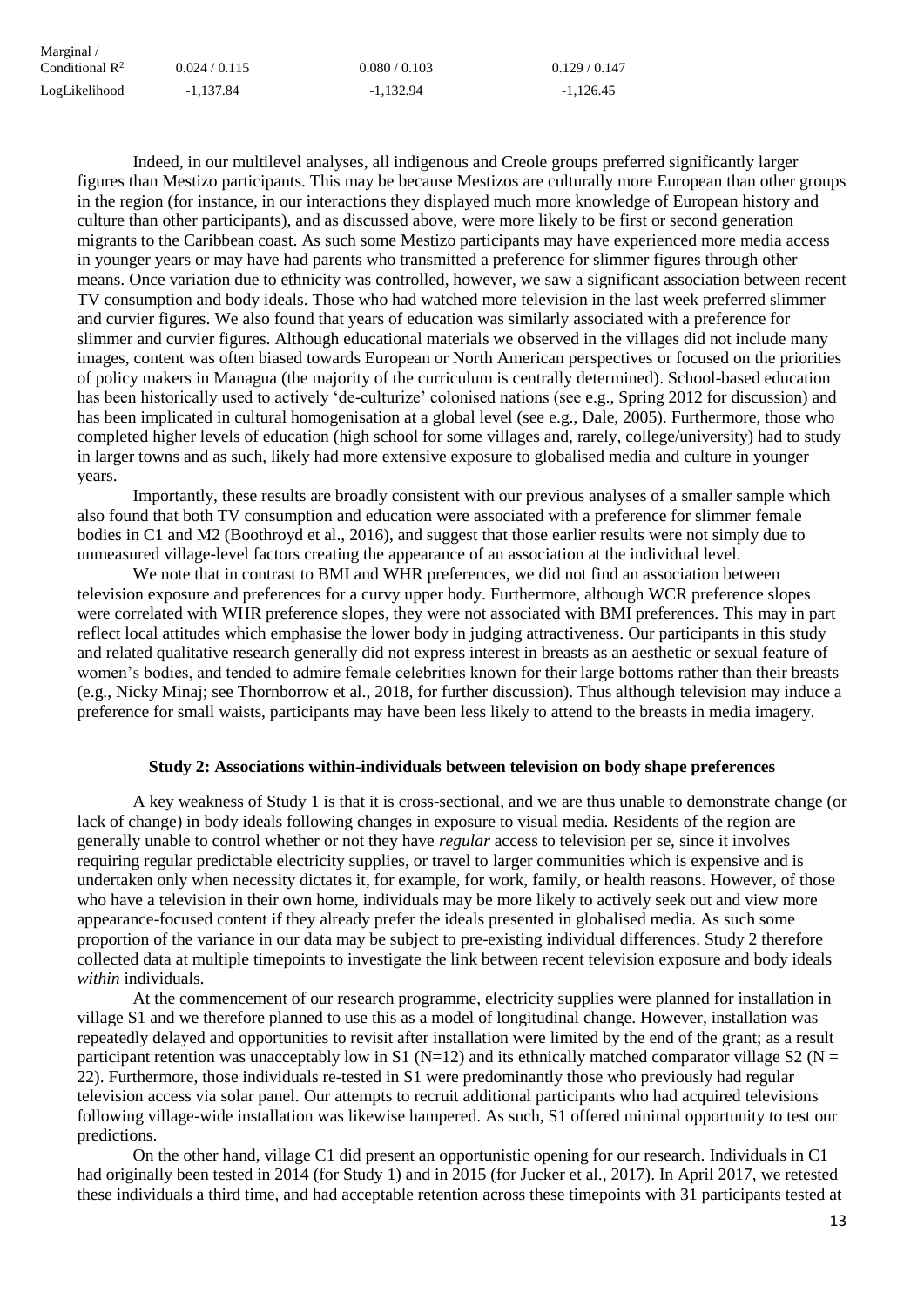| Marginal /                 |             |               |             |
|----------------------------|-------------|---------------|-------------|
| Conditional $\mathbb{R}^2$ | 0.024/0.115 | 0.080 / 0.103 | 0.129/0.147 |
| LogLikelihood              | $-1.137.84$ | $-1.132.94$   | $-1.126.45$ |

Indeed, in our multilevel analyses, all indigenous and Creole groups preferred significantly larger figures than Mestizo participants. This may be because Mestizos are culturally more European than other groups in the region (for instance, in our interactions they displayed much more knowledge of European history and culture than other participants), and as discussed above, were more likely to be first or second generation migrants to the Caribbean coast. As such some Mestizo participants may have experienced more media access in younger years or may have had parents who transmitted a preference for slimmer figures through other means. Once variation due to ethnicity was controlled, however, we saw a significant association between recent TV consumption and body ideals. Those who had watched more television in the last week preferred slimmer and curvier figures. We also found that years of education was similarly associated with a preference for slimmer and curvier figures. Although educational materials we observed in the villages did not include many images, content was often biased towards European or North American perspectives or focused on the priorities of policy makers in Managua (the majority of the curriculum is centrally determined). School-based education has been historically used to actively 'de-culturize' colonised nations (see e.g., Spring 2012 for discussion) and has been implicated in cultural homogenisation at a global level (see e.g., Dale, 2005). Furthermore, those who completed higher levels of education (high school for some villages and, rarely, college/university) had to study in larger towns and as such, likely had more extensive exposure to globalised media and culture in younger years.

Importantly, these results are broadly consistent with our previous analyses of a smaller sample which also found that both TV consumption and education were associated with a preference for slimmer female bodies in C1 and M2 (Boothroyd et al., 2016), and suggest that those earlier results were not simply due to unmeasured village-level factors creating the appearance of an association at the individual level.

We note that in contrast to BMI and WHR preferences, we did not find an association between television exposure and preferences for a curvy upper body. Furthermore, although WCR preference slopes were correlated with WHR preference slopes, they were not associated with BMI preferences. This may in part reflect local attitudes which emphasise the lower body in judging attractiveness. Our participants in this study and related qualitative research generally did not express interest in breasts as an aesthetic or sexual feature of women's bodies, and tended to admire female celebrities known for their large bottoms rather than their breasts (e.g., Nicky Minaj; see Thornborrow et al., 2018, for further discussion). Thus although television may induce a preference for small waists, participants may have been less likely to attend to the breasts in media imagery.

#### **Study 2: Associations within-individuals between television on body shape preferences**

A key weakness of Study 1 is that it is cross-sectional, and we are thus unable to demonstrate change (or lack of change) in body ideals following changes in exposure to visual media. Residents of the region are generally unable to control whether or not they have *regular* access to television per se, since it involves requiring regular predictable electricity supplies, or travel to larger communities which is expensive and is undertaken only when necessity dictates it, for example, for work, family, or health reasons. However, of those who have a television in their own home, individuals may be more likely to actively seek out and view more appearance-focused content if they already prefer the ideals presented in globalised media. As such some proportion of the variance in our data may be subject to pre-existing individual differences. Study 2 therefore collected data at multiple timepoints to investigate the link between recent television exposure and body ideals *within* individuals.

At the commencement of our research programme, electricity supplies were planned for installation in village S1 and we therefore planned to use this as a model of longitudinal change. However, installation was repeatedly delayed and opportunities to revisit after installation were limited by the end of the grant; as a result participant retention was unacceptably low in S1 (N=12) and its ethnically matched comparator village S2 (N = 22). Furthermore, those individuals re-tested in S1 were predominantly those who previously had regular television access via solar panel. Our attempts to recruit additional participants who had acquired televisions following village-wide installation was likewise hampered. As such, S1 offered minimal opportunity to test our predictions.

On the other hand, village C1 did present an opportunistic opening for our research. Individuals in C1 had originally been tested in 2014 (for Study 1) and in 2015 (for Jucker et al., 2017). In April 2017, we retested these individuals a third time, and had acceptable retention across these timepoints with 31 participants tested at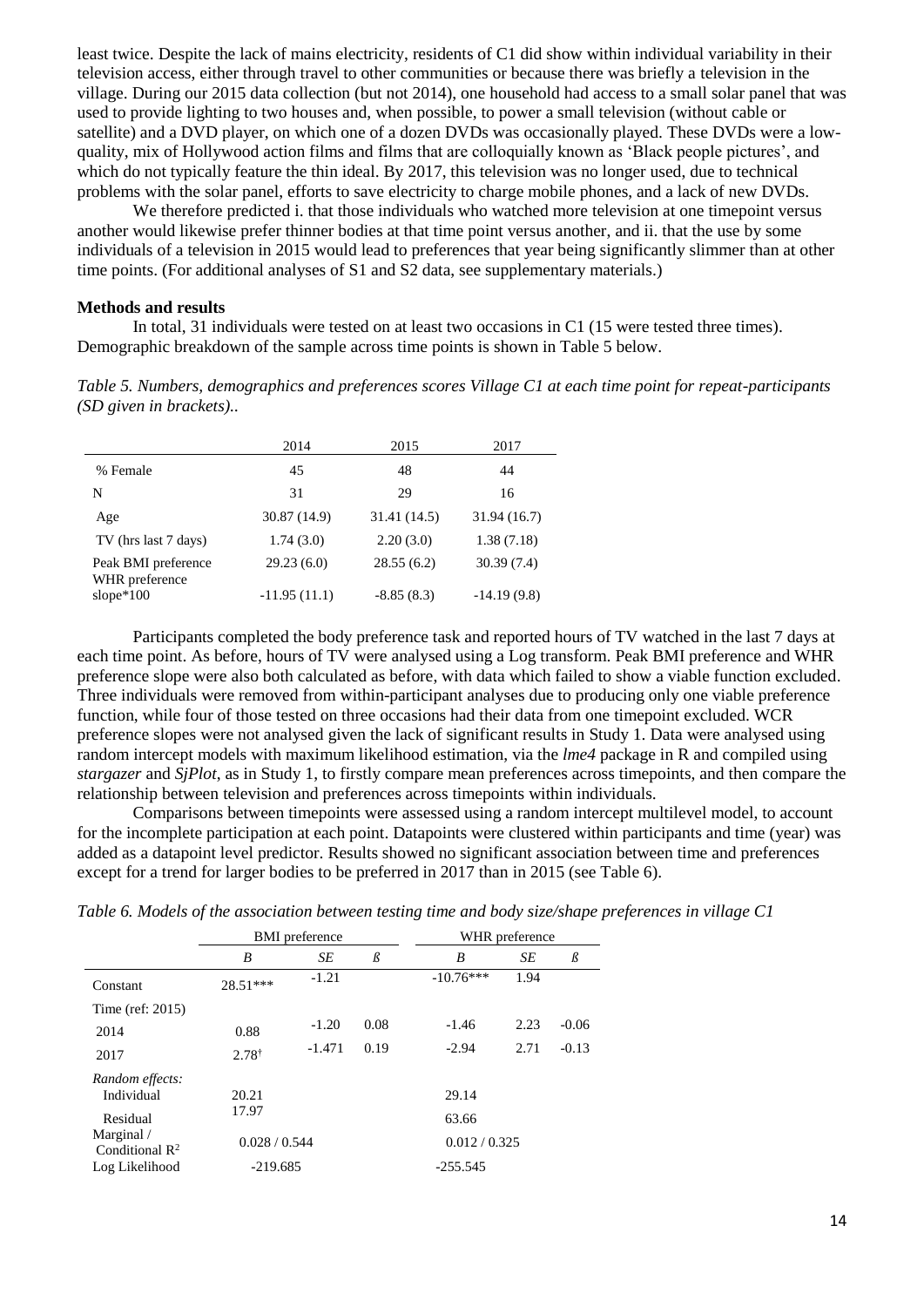least twice. Despite the lack of mains electricity, residents of C1 did show within individual variability in their television access, either through travel to other communities or because there was briefly a television in the village. During our 2015 data collection (but not 2014), one household had access to a small solar panel that was used to provide lighting to two houses and, when possible, to power a small television (without cable or satellite) and a DVD player, on which one of a dozen DVDs was occasionally played. These DVDs were a lowquality, mix of Hollywood action films and films that are colloquially known as 'Black people pictures', and which do not typically feature the thin ideal. By 2017, this television was no longer used, due to technical problems with the solar panel, efforts to save electricity to charge mobile phones, and a lack of new DVDs.

We therefore predicted i. that those individuals who watched more television at one timepoint versus another would likewise prefer thinner bodies at that time point versus another, and ii. that the use by some individuals of a television in 2015 would lead to preferences that year being significantly slimmer than at other time points. (For additional analyses of S1 and S2 data, see supplementary materials.)

#### **Methods and results**

In total, 31 individuals were tested on at least two occasions in C1 (15 were tested three times). Demographic breakdown of the sample across time points is shown in Table 5 below.

*Table 5. Numbers, demographics and preferences scores Village C1 at each time point for repeat-participants (SD given in brackets)..*

|                                | 2014           | 2015         | 2017          |
|--------------------------------|----------------|--------------|---------------|
| % Female                       | 45             | 48           | 44            |
| N                              | 31             | 29           | 16            |
| Age                            | 30.87 (14.9)   | 31.41 (14.5) | 31.94(16.7)   |
| TV (hrs last 7 days)           | 1.74(3.0)      | 2.20(3.0)    | 1.38(7.18)    |
| Peak BMI preference            | 29.23(6.0)     | 28.55(6.2)   | 30.39(7.4)    |
| WHR preference<br>slope $*100$ | $-11.95(11.1)$ | $-8.85(8.3)$ | $-14.19(9.8)$ |

Participants completed the body preference task and reported hours of TV watched in the last 7 days at each time point. As before, hours of TV were analysed using a Log transform. Peak BMI preference and WHR preference slope were also both calculated as before, with data which failed to show a viable function excluded. Three individuals were removed from within-participant analyses due to producing only one viable preference function, while four of those tested on three occasions had their data from one timepoint excluded. WCR preference slopes were not analysed given the lack of significant results in Study 1. Data were analysed using random intercept models with maximum likelihood estimation, via the *lme4* package in R and compiled using *stargazer* and *SjPlot*, as in Study 1, to firstly compare mean preferences across timepoints, and then compare the relationship between television and preferences across timepoints within individuals.

Comparisons between timepoints were assessed using a random intercept multilevel model, to account for the incomplete participation at each point. Datapoints were clustered within participants and time (year) was added as a datapoint level predictor. Results showed no significant association between time and preferences except for a trend for larger bodies to be preferred in 2017 than in 2015 (see Table 6).

|                                          | <b>BMI</b> preference | WHR preference |         |               |      |         |
|------------------------------------------|-----------------------|----------------|---------|---------------|------|---------|
|                                          | B                     | SE             | $\beta$ | B             | SE   | $\beta$ |
| Constant                                 | $28.51***$            | $-1.21$        |         | $-10.76***$   | 1.94 |         |
| Time (ref: $2015$ )                      |                       |                |         |               |      |         |
| 2014                                     | 0.88                  | $-1.20$        | 0.08    | $-1.46$       | 2.23 | $-0.06$ |
| 2017                                     | $2.78^{\dagger}$      | $-1.471$       | 0.19    | $-2.94$       | 2.71 | $-0.13$ |
| Random effects:                          |                       |                |         |               |      |         |
| Individual                               | 20.21                 |                |         | 29.14         |      |         |
| Residual                                 | 17.97                 |                |         | 63.66         |      |         |
| Marginal /<br>Conditional $\mathbb{R}^2$ | 0.028 / 0.544         |                |         | 0.012 / 0.325 |      |         |
| Log Likelihood                           | $-219.685$            |                |         | $-255.545$    |      |         |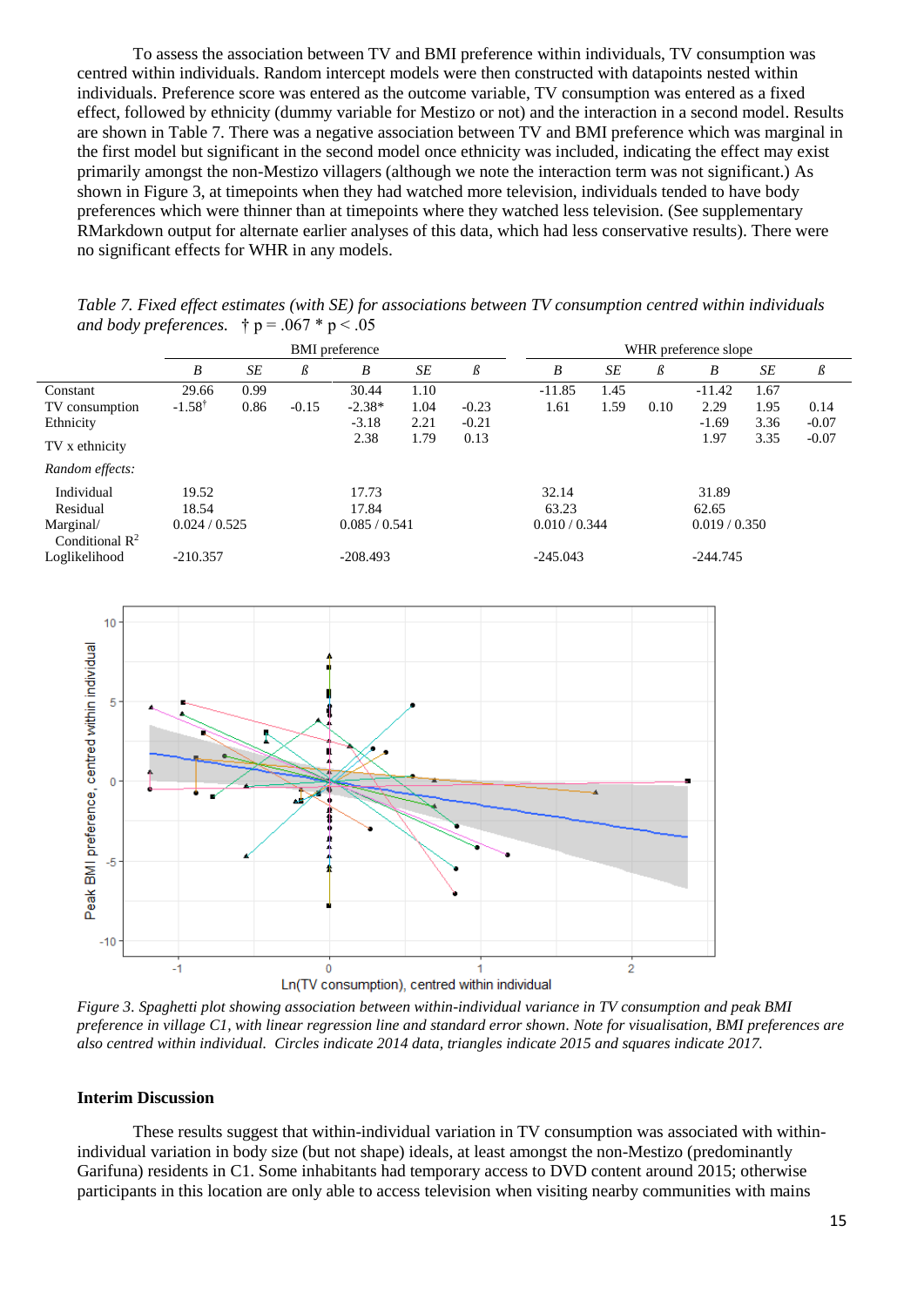To assess the association between TV and BMI preference within individuals, TV consumption was centred within individuals. Random intercept models were then constructed with datapoints nested within individuals. Preference score was entered as the outcome variable, TV consumption was entered as a fixed effect, followed by ethnicity (dummy variable for Mestizo or not) and the interaction in a second model. Results are shown in Table 7. There was a negative association between TV and BMI preference which was marginal in the first model but significant in the second model once ethnicity was included, indicating the effect may exist primarily amongst the non-Mestizo villagers (although we note the interaction term was not significant.) As shown in Figure 3, at timepoints when they had watched more television, individuals tended to have body preferences which were thinner than at timepoints where they watched less television. (See supplementary RMarkdown output for alternate earlier analyses of this data, which had less conservative results). There were no significant effects for WHR in any models.

BMI preference wHR preference slope *B SE B B SE B B SE B SE B SE B* Constant 29.66 0.99 30.44 1.10 -11.85 1.45 -11.42 1.67 TV consumption -1.58† 0.86 -0.15 -2.38\* 1.04 -0.23 1.61 1.59 0.10 2.29 1.95 0.14 Ethnicity **1.69** 2.21 -0.21 -0.21 -0.21 -1.69 3.36 -0.07 TV x ethnicity 2.38 1.79 0.13 1.97 3.35 -0.07 *Random effects:* Individual 19.52 17.73 32.14 31.89 Residual 18.54 17.84 63.23 62.65 Marginal/ Conditional  $\mathbb{R}^2$ 0.024 / 0.525 0.085 / 0.541 0.010 / 0.344 0.019 / 0.350 Loglikelihood -210.357 -208.493 -245.043 -245.043 -244.745

*Table 7. Fixed effect estimates (with SE) for associations between TV consumption centred within individuals and body preferences.*  $\uparrow p = .067 * p < .05$ 



*Figure 3. Spaghetti plot showing association between within-individual variance in TV consumption and peak BMI preference in village C1, with linear regression line and standard error shown. Note for visualisation, BMI preferences are also centred within individual. Circles indicate 2014 data, triangles indicate 2015 and squares indicate 2017.*

#### **Interim Discussion**

These results suggest that within-individual variation in TV consumption was associated with withinindividual variation in body size (but not shape) ideals, at least amongst the non-Mestizo (predominantly Garifuna) residents in C1. Some inhabitants had temporary access to DVD content around 2015; otherwise participants in this location are only able to access television when visiting nearby communities with mains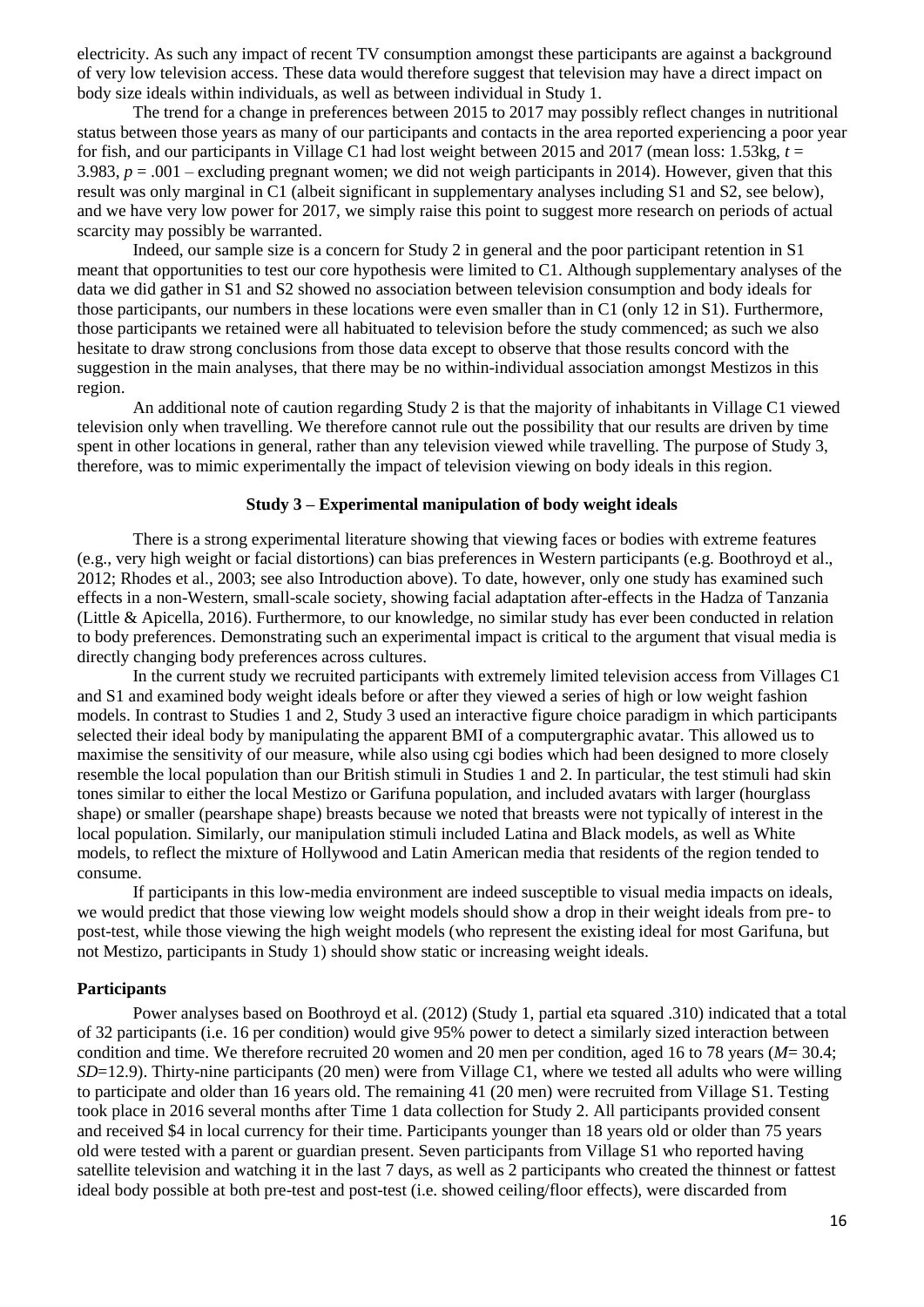electricity. As such any impact of recent TV consumption amongst these participants are against a background of very low television access. These data would therefore suggest that television may have a direct impact on body size ideals within individuals, as well as between individual in Study 1.

The trend for a change in preferences between 2015 to 2017 may possibly reflect changes in nutritional status between those years as many of our participants and contacts in the area reported experiencing a poor year for fish, and our participants in Village C1 had lost weight between 2015 and 2017 (mean loss: 1.53kg,  $t =$ 3.983,  $p = .001$  – excluding pregnant women; we did not weigh participants in 2014). However, given that this result was only marginal in C1 (albeit significant in supplementary analyses including S1 and S2, see below), and we have very low power for 2017, we simply raise this point to suggest more research on periods of actual scarcity may possibly be warranted.

Indeed, our sample size is a concern for Study 2 in general and the poor participant retention in S1 meant that opportunities to test our core hypothesis were limited to C1. Although supplementary analyses of the data we did gather in S1 and S2 showed no association between television consumption and body ideals for those participants, our numbers in these locations were even smaller than in C1 (only 12 in S1). Furthermore, those participants we retained were all habituated to television before the study commenced; as such we also hesitate to draw strong conclusions from those data except to observe that those results concord with the suggestion in the main analyses, that there may be no within-individual association amongst Mestizos in this region.

An additional note of caution regarding Study 2 is that the majority of inhabitants in Village C1 viewed television only when travelling. We therefore cannot rule out the possibility that our results are driven by time spent in other locations in general, rather than any television viewed while travelling. The purpose of Study 3, therefore, was to mimic experimentally the impact of television viewing on body ideals in this region.

### **Study 3 – Experimental manipulation of body weight ideals**

There is a strong experimental literature showing that viewing faces or bodies with extreme features (e.g., very high weight or facial distortions) can bias preferences in Western participants (e.g. Boothroyd et al., 2012; Rhodes et al., 2003; see also Introduction above). To date, however, only one study has examined such effects in a non-Western, small-scale society, showing facial adaptation after-effects in the Hadza of Tanzania (Little & Apicella, 2016). Furthermore, to our knowledge, no similar study has ever been conducted in relation to body preferences. Demonstrating such an experimental impact is critical to the argument that visual media is directly changing body preferences across cultures.

In the current study we recruited participants with extremely limited television access from Villages C1 and S1 and examined body weight ideals before or after they viewed a series of high or low weight fashion models. In contrast to Studies 1 and 2, Study 3 used an interactive figure choice paradigm in which participants selected their ideal body by manipulating the apparent BMI of a computergraphic avatar. This allowed us to maximise the sensitivity of our measure, while also using cgi bodies which had been designed to more closely resemble the local population than our British stimuli in Studies 1 and 2. In particular, the test stimuli had skin tones similar to either the local Mestizo or Garifuna population, and included avatars with larger (hourglass shape) or smaller (pearshape shape) breasts because we noted that breasts were not typically of interest in the local population. Similarly, our manipulation stimuli included Latina and Black models, as well as White models, to reflect the mixture of Hollywood and Latin American media that residents of the region tended to consume.

If participants in this low-media environment are indeed susceptible to visual media impacts on ideals, we would predict that those viewing low weight models should show a drop in their weight ideals from pre- to post-test, while those viewing the high weight models (who represent the existing ideal for most Garifuna, but not Mestizo, participants in Study 1) should show static or increasing weight ideals.

#### **Participants**

Power analyses based on Boothroyd et al. (2012) (Study 1, partial eta squared .310) indicated that a total of 32 participants (i.e. 16 per condition) would give 95% power to detect a similarly sized interaction between condition and time. We therefore recruited 20 women and 20 men per condition, aged 16 to 78 years (*M*= 30.4; *SD*=12.9). Thirty-nine participants (20 men) were from Village C1, where we tested all adults who were willing to participate and older than 16 years old. The remaining 41 (20 men) were recruited from Village S1. Testing took place in 2016 several months after Time 1 data collection for Study 2. All participants provided consent and received \$4 in local currency for their time. Participants younger than 18 years old or older than 75 years old were tested with a parent or guardian present. Seven participants from Village S1 who reported having satellite television and watching it in the last 7 days, as well as 2 participants who created the thinnest or fattest ideal body possible at both pre-test and post-test (i.e. showed ceiling/floor effects), were discarded from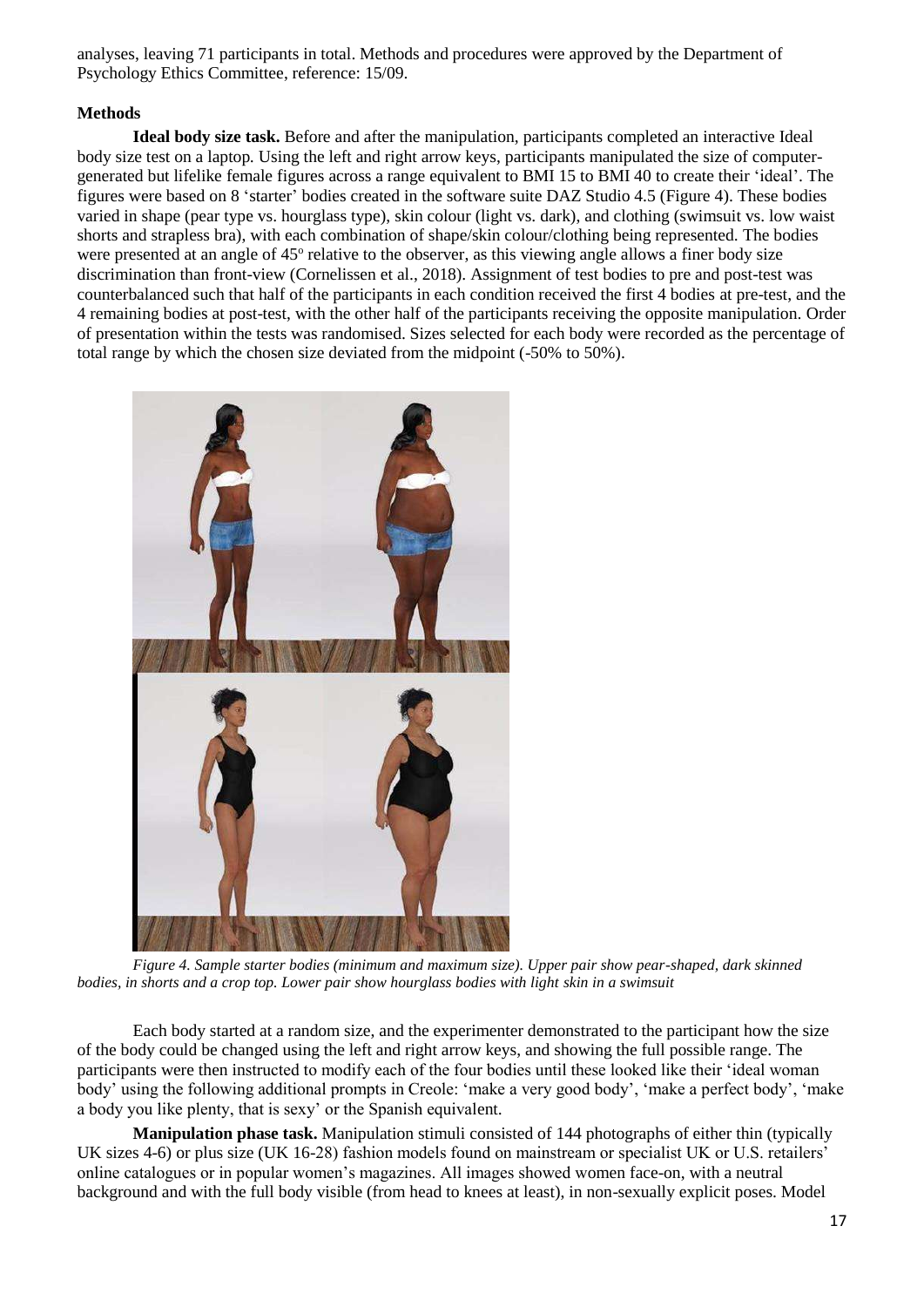analyses, leaving 71 participants in total. Methods and procedures were approved by the Department of Psychology Ethics Committee, reference: 15/09.

### **Methods**

**Ideal body size task.** Before and after the manipulation, participants completed an interactive Ideal body size test on a laptop*.* Using the left and right arrow keys, participants manipulated the size of computergenerated but lifelike female figures across a range equivalent to BMI 15 to BMI 40 to create their 'ideal'. The figures were based on 8 'starter' bodies created in the software suite DAZ Studio 4.5 (Figure 4). These bodies varied in shape (pear type vs. hourglass type), skin colour (light vs. dark), and clothing (swimsuit vs. low waist shorts and strapless bra), with each combination of shape/skin colour/clothing being represented. The bodies were presented at an angle of 45° relative to the observer, as this viewing angle allows a finer body size discrimination than front-view (Cornelissen et al., 2018). Assignment of test bodies to pre and post-test was counterbalanced such that half of the participants in each condition received the first 4 bodies at pre-test, and the 4 remaining bodies at post-test, with the other half of the participants receiving the opposite manipulation. Order of presentation within the tests was randomised. Sizes selected for each body were recorded as the percentage of total range by which the chosen size deviated from the midpoint (-50% to 50%).



*Figure 4. Sample starter bodies (minimum and maximum size). Upper pair show pear-shaped, dark skinned bodies, in shorts and a crop top. Lower pair show hourglass bodies with light skin in a swimsuit* 

Each body started at a random size, and the experimenter demonstrated to the participant how the size of the body could be changed using the left and right arrow keys, and showing the full possible range. The participants were then instructed to modify each of the four bodies until these looked like their 'ideal woman body' using the following additional prompts in Creole: 'make a very good body', 'make a perfect body', 'make a body you like plenty, that is sexy' or the Spanish equivalent.

**Manipulation phase task.** Manipulation stimuli consisted of 144 photographs of either thin (typically UK sizes 4-6) or plus size (UK 16-28) fashion models found on mainstream or specialist UK or U.S. retailers' online catalogues or in popular women's magazines. All images showed women face-on, with a neutral background and with the full body visible (from head to knees at least), in non-sexually explicit poses. Model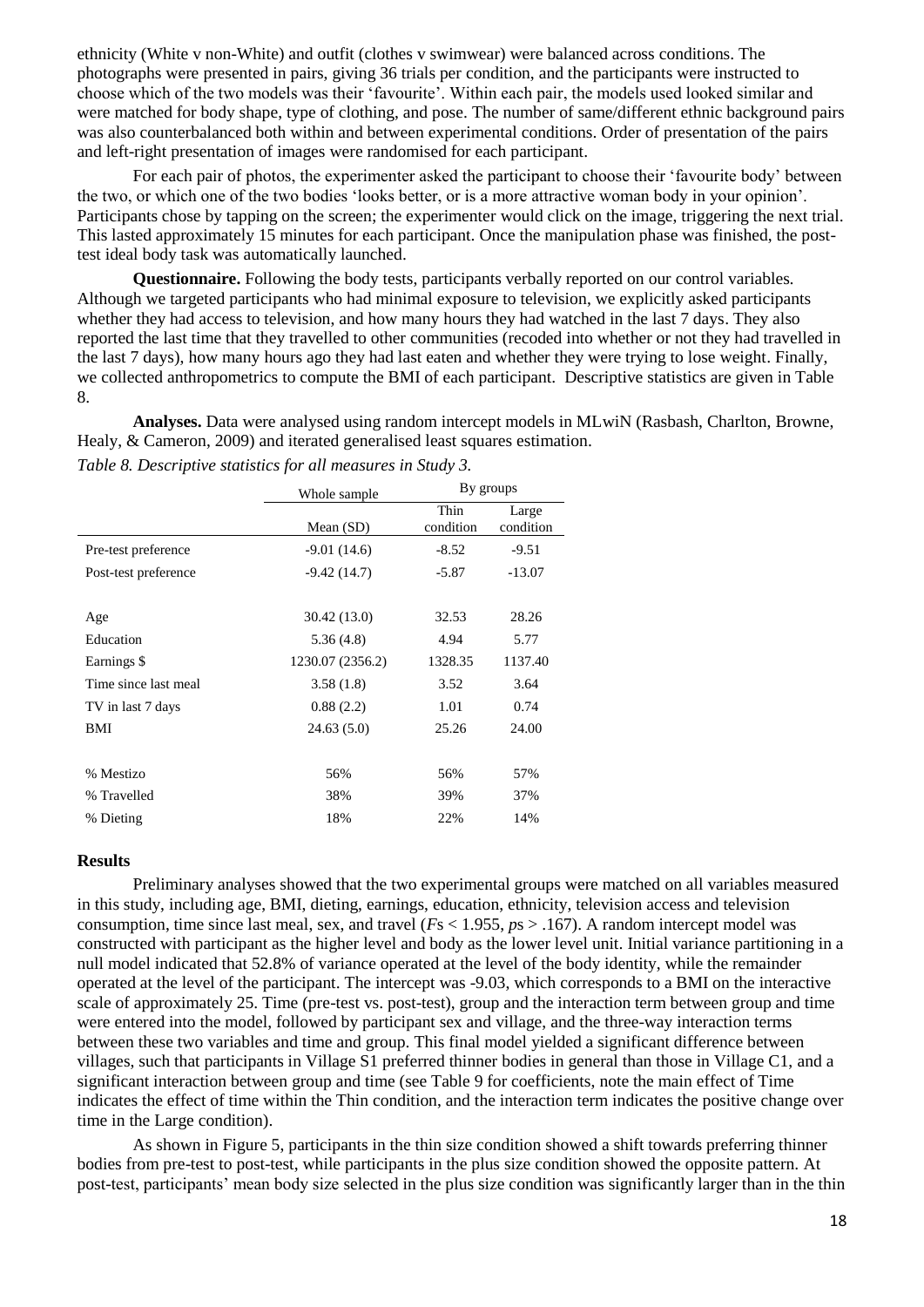ethnicity (White v non-White) and outfit (clothes v swimwear) were balanced across conditions. The photographs were presented in pairs, giving 36 trials per condition, and the participants were instructed to choose which of the two models was their 'favourite'. Within each pair, the models used looked similar and were matched for body shape, type of clothing, and pose. The number of same/different ethnic background pairs was also counterbalanced both within and between experimental conditions. Order of presentation of the pairs and left-right presentation of images were randomised for each participant.

For each pair of photos, the experimenter asked the participant to choose their 'favourite body' between the two, or which one of the two bodies 'looks better, or is a more attractive woman body in your opinion'. Participants chose by tapping on the screen; the experimenter would click on the image, triggering the next trial. This lasted approximately 15 minutes for each participant. Once the manipulation phase was finished, the posttest ideal body task was automatically launched.

**Questionnaire.** Following the body tests, participants verbally reported on our control variables*.* Although we targeted participants who had minimal exposure to television, we explicitly asked participants whether they had access to television, and how many hours they had watched in the last 7 days. They also reported the last time that they travelled to other communities (recoded into whether or not they had travelled in the last 7 days), how many hours ago they had last eaten and whether they were trying to lose weight. Finally, we collected anthropometrics to compute the BMI of each participant. Descriptive statistics are given in Table 8.

**Analyses.** Data were analysed using random intercept models in MLwiN (Rasbash, Charlton, Browne, Healy, & Cameron, 2009) and iterated generalised least squares estimation.

|                      | Whole sample     | By groups         |                    |
|----------------------|------------------|-------------------|--------------------|
|                      | Mean $(SD)$      | Thin<br>condition | Large<br>condition |
| Pre-test preference  | $-9.01(14.6)$    | $-8.52$           | $-9.51$            |
| Post-test preference | $-9.42(14.7)$    | $-5.87$           | $-13.07$           |
|                      |                  |                   |                    |
| Age                  | 30.42 (13.0)     | 32.53             | 28.26              |
| Education            | 5.36(4.8)        | 4.94              | 5.77               |
| Earnings \$          | 1230.07 (2356.2) | 1328.35           | 1137.40            |
| Time since last meal | 3.58(1.8)        | 3.52              | 3.64               |
| TV in last 7 days    | 0.88(2.2)        | 1.01              | 0.74               |
| BMI                  | 24.63(5.0)       | 25.26             | 24.00              |
|                      |                  |                   |                    |
| % Mestizo            | 56%              | 56%               | 57%                |
| % Travelled          | 38%              | 39%               | 37%                |
| % Dieting            | 18%              | 22%               | 14%                |

*Table 8. Descriptive statistics for all measures in Study 3.*

## **Results**

Preliminary analyses showed that the two experimental groups were matched on all variables measured in this study, including age, BMI, dieting, earnings, education, ethnicity, television access and television consumption, time since last meal, sex, and travel (*F*s < 1.955, *p*s > .167). A random intercept model was constructed with participant as the higher level and body as the lower level unit. Initial variance partitioning in a null model indicated that 52.8% of variance operated at the level of the body identity, while the remainder operated at the level of the participant. The intercept was -9.03, which corresponds to a BMI on the interactive scale of approximately 25. Time (pre-test vs. post-test), group and the interaction term between group and time were entered into the model, followed by participant sex and village, and the three-way interaction terms between these two variables and time and group. This final model yielded a significant difference between villages, such that participants in Village S1 preferred thinner bodies in general than those in Village C1, and a significant interaction between group and time (see Table 9 for coefficients, note the main effect of Time indicates the effect of time within the Thin condition, and the interaction term indicates the positive change over time in the Large condition).

As shown in Figure 5, participants in the thin size condition showed a shift towards preferring thinner bodies from pre-test to post-test, while participants in the plus size condition showed the opposite pattern. At post-test, participants' mean body size selected in the plus size condition was significantly larger than in the thin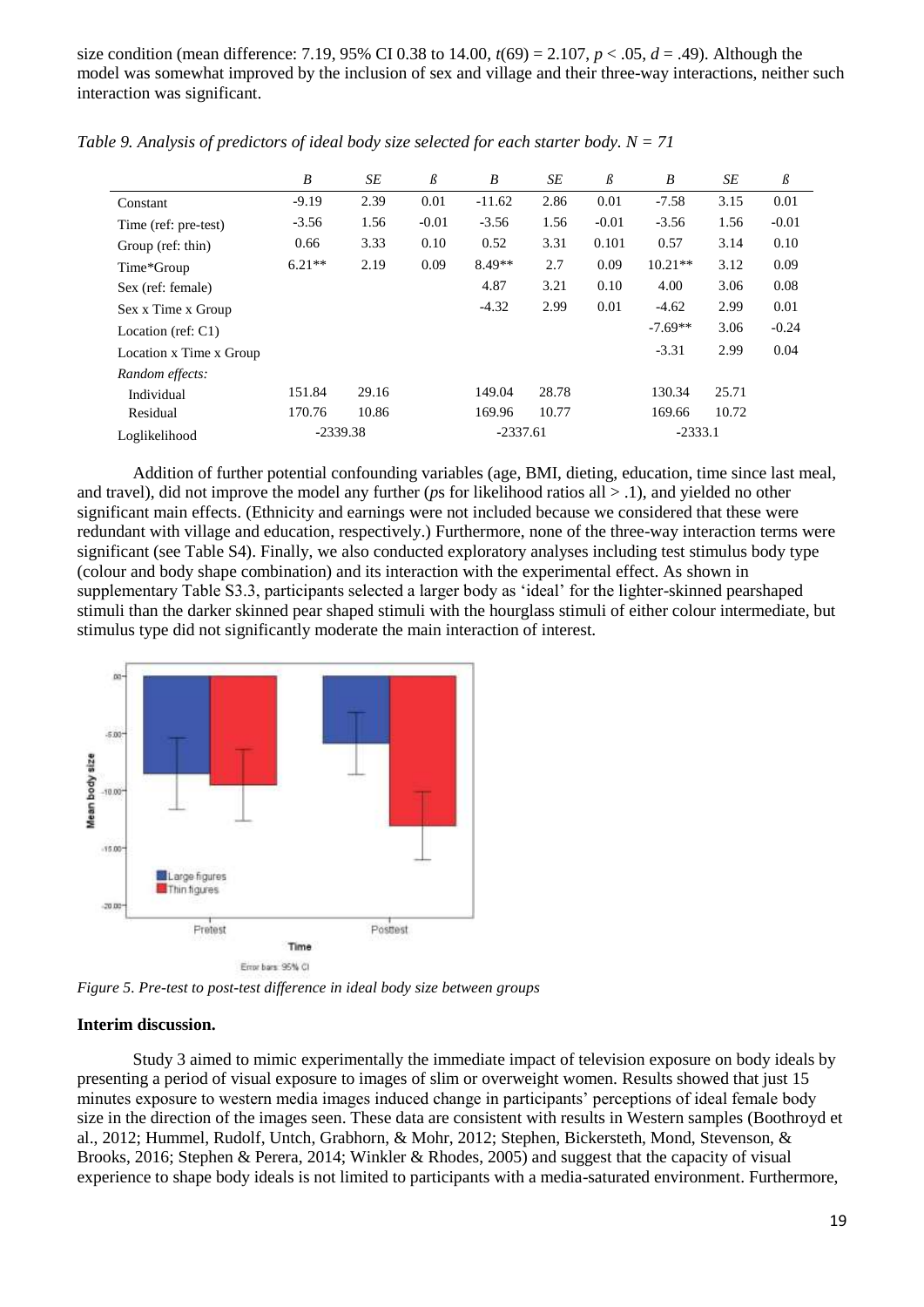size condition (mean difference: 7.19, 95% CI 0.38 to 14.00,  $t(69) = 2.107$ ,  $p < .05$ ,  $d = .49$ ). Although the model was somewhat improved by the inclusion of sex and village and their three-way interactions, neither such interaction was significant.

|                         | B          | SE    | $\beta$ | B          | SE    | $\beta$ | B         | SE    | $\beta$ |
|-------------------------|------------|-------|---------|------------|-------|---------|-----------|-------|---------|
| Constant                | $-9.19$    | 2.39  | 0.01    | $-11.62$   | 2.86  | 0.01    | $-7.58$   | 3.15  | 0.01    |
| Time (ref: pre-test)    | $-3.56$    | 1.56  | $-0.01$ | $-3.56$    | 1.56  | $-0.01$ | $-3.56$   | 1.56  | $-0.01$ |
| Group (ref: thin)       | 0.66       | 3.33  | 0.10    | 0.52       | 3.31  | 0.101   | 0.57      | 3.14  | 0.10    |
| Time*Group              | $6.21**$   | 2.19  | 0.09    | $8.49**$   | 2.7   | 0.09    | $10.21**$ | 3.12  | 0.09    |
| Sex (ref: female)       |            |       |         | 4.87       | 3.21  | 0.10    | 4.00      | 3.06  | 0.08    |
| Sex x Time x Group      |            |       |         | $-4.32$    | 2.99  | 0.01    | $-4.62$   | 2.99  | 0.01    |
| Location (ref: $C1$ )   |            |       |         |            |       |         | $-7.69**$ | 3.06  | $-0.24$ |
| Location x Time x Group |            |       |         |            |       |         | $-3.31$   | 2.99  | 0.04    |
| Random effects:         |            |       |         |            |       |         |           |       |         |
| Individual              | 151.84     | 29.16 |         | 149.04     | 28.78 |         | 130.34    | 25.71 |         |
| Residual                | 170.76     | 10.86 |         | 169.96     | 10.77 |         | 169.66    | 10.72 |         |
| Loglikelihood           | $-2339.38$ |       |         | $-2337.61$ |       |         | $-2333.1$ |       |         |

*Table 9. Analysis of predictors of ideal body size selected for each starter body. N = 71*

Addition of further potential confounding variables (age, BMI, dieting, education, time since last meal, and travel), did not improve the model any further (*p*s for likelihood ratios all > .1), and yielded no other significant main effects. (Ethnicity and earnings were not included because we considered that these were redundant with village and education, respectively.) Furthermore, none of the three-way interaction terms were significant (see Table S4). Finally, we also conducted exploratory analyses including test stimulus body type (colour and body shape combination) and its interaction with the experimental effect. As shown in supplementary Table S3.3, participants selected a larger body as 'ideal' for the lighter-skinned pearshaped stimuli than the darker skinned pear shaped stimuli with the hourglass stimuli of either colour intermediate, but stimulus type did not significantly moderate the main interaction of interest.



*Figure 5. Pre-test to post-test difference in ideal body size between groups*

#### **Interim discussion.**

Study 3 aimed to mimic experimentally the immediate impact of television exposure on body ideals by presenting a period of visual exposure to images of slim or overweight women. Results showed that just 15 minutes exposure to western media images induced change in participants' perceptions of ideal female body size in the direction of the images seen. These data are consistent with results in Western samples (Boothroyd et al., 2012; Hummel, Rudolf, Untch, Grabhorn, & Mohr, 2012; Stephen, Bickersteth, Mond, Stevenson, & Brooks, 2016; Stephen & Perera, 2014; Winkler & Rhodes, 2005) and suggest that the capacity of visual experience to shape body ideals is not limited to participants with a media-saturated environment. Furthermore,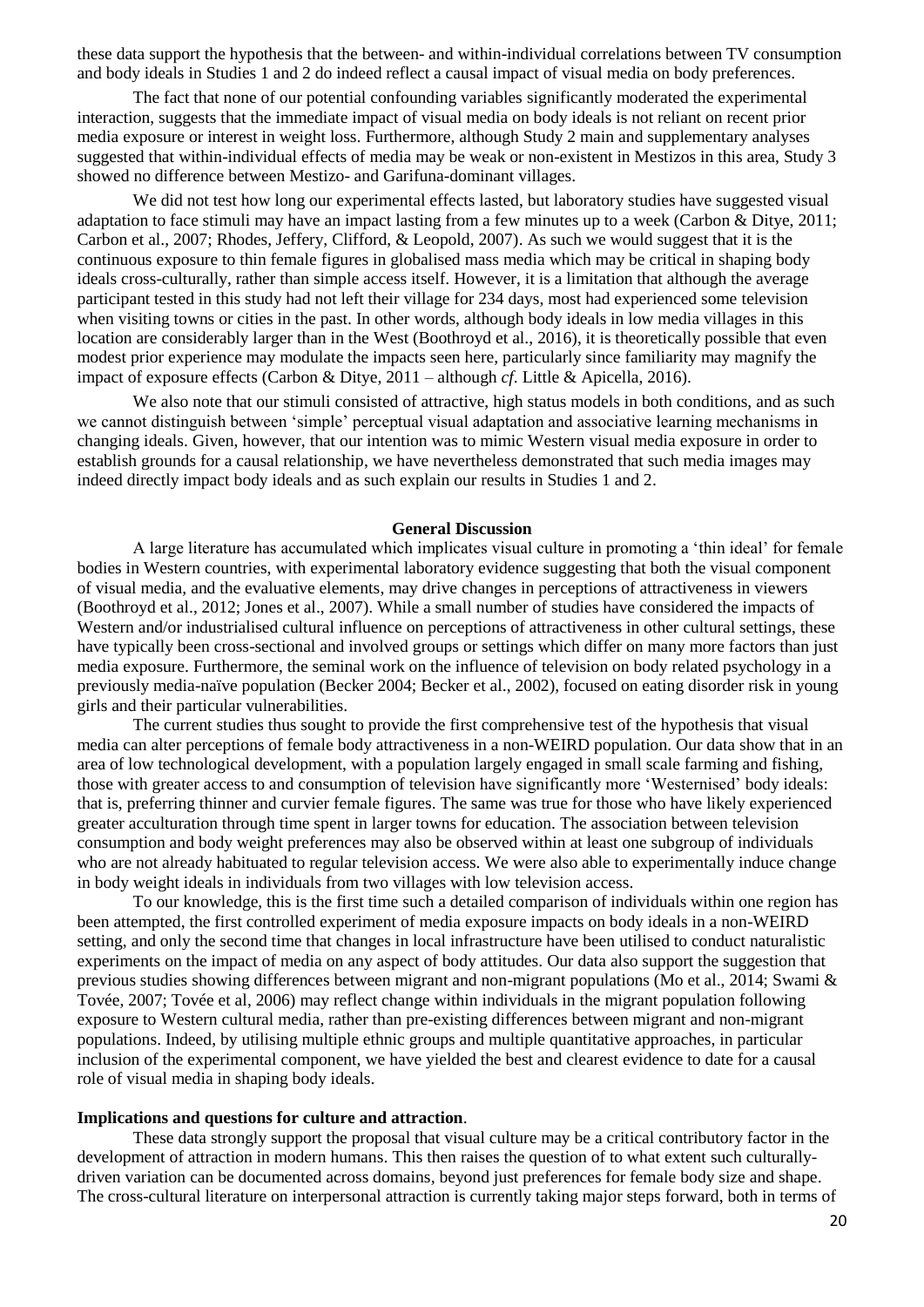these data support the hypothesis that the between- and within-individual correlations between TV consumption and body ideals in Studies 1 and 2 do indeed reflect a causal impact of visual media on body preferences.

The fact that none of our potential confounding variables significantly moderated the experimental interaction, suggests that the immediate impact of visual media on body ideals is not reliant on recent prior media exposure or interest in weight loss. Furthermore, although Study 2 main and supplementary analyses suggested that within-individual effects of media may be weak or non-existent in Mestizos in this area, Study 3 showed no difference between Mestizo- and Garifuna-dominant villages.

We did not test how long our experimental effects lasted, but laboratory studies have suggested visual adaptation to face stimuli may have an impact lasting from a few minutes up to a week (Carbon & Ditye, 2011; Carbon et al., 2007; Rhodes, Jeffery, Clifford, & Leopold, 2007). As such we would suggest that it is the continuous exposure to thin female figures in globalised mass media which may be critical in shaping body ideals cross-culturally, rather than simple access itself. However, it is a limitation that although the average participant tested in this study had not left their village for 234 days, most had experienced some television when visiting towns or cities in the past. In other words, although body ideals in low media villages in this location are considerably larger than in the West (Boothroyd et al., 2016), it is theoretically possible that even modest prior experience may modulate the impacts seen here, particularly since familiarity may magnify the impact of exposure effects (Carbon & Ditye, 2011 – although *cf*. Little & Apicella, 2016).

We also note that our stimuli consisted of attractive, high status models in both conditions, and as such we cannot distinguish between 'simple' perceptual visual adaptation and associative learning mechanisms in changing ideals. Given, however, that our intention was to mimic Western visual media exposure in order to establish grounds for a causal relationship, we have nevertheless demonstrated that such media images may indeed directly impact body ideals and as such explain our results in Studies 1 and 2.

### **General Discussion**

A large literature has accumulated which implicates visual culture in promoting a 'thin ideal' for female bodies in Western countries, with experimental laboratory evidence suggesting that both the visual component of visual media, and the evaluative elements, may drive changes in perceptions of attractiveness in viewers (Boothroyd et al., 2012; Jones et al., 2007). While a small number of studies have considered the impacts of Western and/or industrialised cultural influence on perceptions of attractiveness in other cultural settings, these have typically been cross-sectional and involved groups or settings which differ on many more factors than just media exposure. Furthermore, the seminal work on the influence of television on body related psychology in a previously media-naïve population (Becker 2004; Becker et al., 2002), focused on eating disorder risk in young girls and their particular vulnerabilities.

The current studies thus sought to provide the first comprehensive test of the hypothesis that visual media can alter perceptions of female body attractiveness in a non-WEIRD population. Our data show that in an area of low technological development, with a population largely engaged in small scale farming and fishing, those with greater access to and consumption of television have significantly more 'Westernised' body ideals: that is, preferring thinner and curvier female figures. The same was true for those who have likely experienced greater acculturation through time spent in larger towns for education. The association between television consumption and body weight preferences may also be observed within at least one subgroup of individuals who are not already habituated to regular television access. We were also able to experimentally induce change in body weight ideals in individuals from two villages with low television access.

To our knowledge, this is the first time such a detailed comparison of individuals within one region has been attempted, the first controlled experiment of media exposure impacts on body ideals in a non-WEIRD setting, and only the second time that changes in local infrastructure have been utilised to conduct naturalistic experiments on the impact of media on any aspect of body attitudes. Our data also support the suggestion that previous studies showing differences between migrant and non-migrant populations (Mo et al., 2014; Swami & Tovée, 2007; Tovée et al, 2006) may reflect change within individuals in the migrant population following exposure to Western cultural media, rather than pre-existing differences between migrant and non-migrant populations. Indeed, by utilising multiple ethnic groups and multiple quantitative approaches, in particular inclusion of the experimental component, we have yielded the best and clearest evidence to date for a causal role of visual media in shaping body ideals.

#### **Implications and questions for culture and attraction**.

These data strongly support the proposal that visual culture may be a critical contributory factor in the development of attraction in modern humans. This then raises the question of to what extent such culturallydriven variation can be documented across domains, beyond just preferences for female body size and shape. The cross-cultural literature on interpersonal attraction is currently taking major steps forward, both in terms of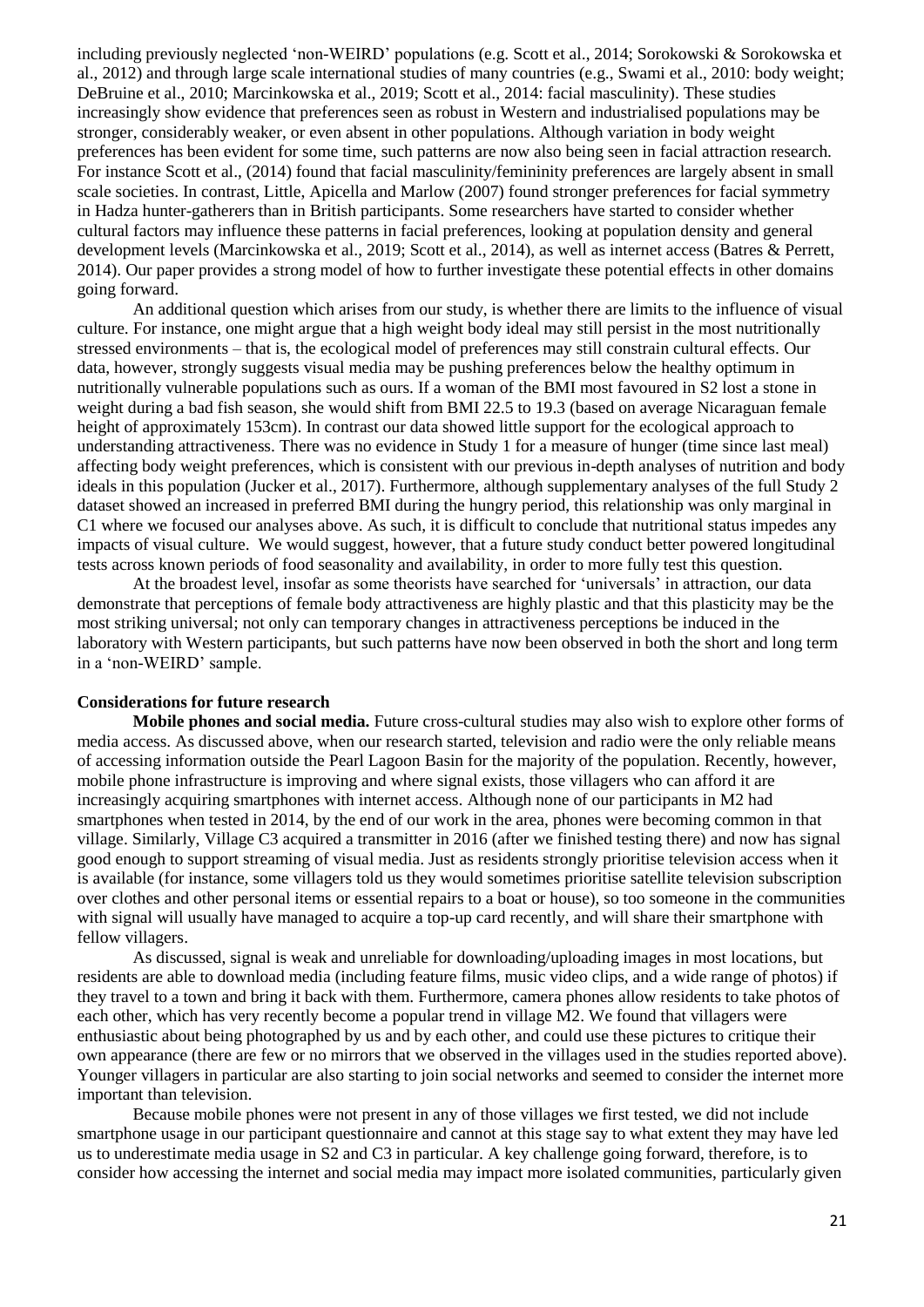including previously neglected 'non-WEIRD' populations (e.g. Scott et al., 2014; Sorokowski & Sorokowska et al., 2012) and through large scale international studies of many countries (e.g., Swami et al., 2010: body weight; DeBruine et al., 2010; Marcinkowska et al., 2019; Scott et al., 2014: facial masculinity). These studies increasingly show evidence that preferences seen as robust in Western and industrialised populations may be stronger, considerably weaker, or even absent in other populations. Although variation in body weight preferences has been evident for some time, such patterns are now also being seen in facial attraction research. For instance Scott et al., (2014) found that facial masculinity/femininity preferences are largely absent in small scale societies. In contrast, Little, Apicella and Marlow (2007) found stronger preferences for facial symmetry in Hadza hunter-gatherers than in British participants. Some researchers have started to consider whether cultural factors may influence these patterns in facial preferences, looking at population density and general development levels (Marcinkowska et al., 2019; Scott et al., 2014), as well as internet access (Batres & Perrett, 2014). Our paper provides a strong model of how to further investigate these potential effects in other domains going forward.

An additional question which arises from our study, is whether there are limits to the influence of visual culture. For instance, one might argue that a high weight body ideal may still persist in the most nutritionally stressed environments – that is, the ecological model of preferences may still constrain cultural effects. Our data, however, strongly suggests visual media may be pushing preferences below the healthy optimum in nutritionally vulnerable populations such as ours. If a woman of the BMI most favoured in S2 lost a stone in weight during a bad fish season, she would shift from BMI 22.5 to 19.3 (based on average Nicaraguan female height of approximately 153cm). In contrast our data showed little support for the ecological approach to understanding attractiveness. There was no evidence in Study 1 for a measure of hunger (time since last meal) affecting body weight preferences, which is consistent with our previous in-depth analyses of nutrition and body ideals in this population (Jucker et al., 2017). Furthermore, although supplementary analyses of the full Study 2 dataset showed an increased in preferred BMI during the hungry period, this relationship was only marginal in C1 where we focused our analyses above. As such, it is difficult to conclude that nutritional status impedes any impacts of visual culture. We would suggest, however, that a future study conduct better powered longitudinal tests across known periods of food seasonality and availability, in order to more fully test this question.

At the broadest level, insofar as some theorists have searched for 'universals' in attraction, our data demonstrate that perceptions of female body attractiveness are highly plastic and that this plasticity may be the most striking universal; not only can temporary changes in attractiveness perceptions be induced in the laboratory with Western participants, but such patterns have now been observed in both the short and long term in a 'non-WEIRD' sample.

### **Considerations for future research**

**Mobile phones and social media.** Future cross-cultural studies may also wish to explore other forms of media access. As discussed above, when our research started, television and radio were the only reliable means of accessing information outside the Pearl Lagoon Basin for the majority of the population. Recently, however, mobile phone infrastructure is improving and where signal exists, those villagers who can afford it are increasingly acquiring smartphones with internet access. Although none of our participants in M2 had smartphones when tested in 2014, by the end of our work in the area, phones were becoming common in that village. Similarly, Village C3 acquired a transmitter in 2016 (after we finished testing there) and now has signal good enough to support streaming of visual media. Just as residents strongly prioritise television access when it is available (for instance, some villagers told us they would sometimes prioritise satellite television subscription over clothes and other personal items or essential repairs to a boat or house), so too someone in the communities with signal will usually have managed to acquire a top-up card recently, and will share their smartphone with fellow villagers.

As discussed, signal is weak and unreliable for downloading/uploading images in most locations, but residents are able to download media (including feature films, music video clips, and a wide range of photos) if they travel to a town and bring it back with them. Furthermore, camera phones allow residents to take photos of each other, which has very recently become a popular trend in village M2. We found that villagers were enthusiastic about being photographed by us and by each other, and could use these pictures to critique their own appearance (there are few or no mirrors that we observed in the villages used in the studies reported above). Younger villagers in particular are also starting to join social networks and seemed to consider the internet more important than television.

Because mobile phones were not present in any of those villages we first tested, we did not include smartphone usage in our participant questionnaire and cannot at this stage say to what extent they may have led us to underestimate media usage in S2 and C3 in particular. A key challenge going forward, therefore, is to consider how accessing the internet and social media may impact more isolated communities, particularly given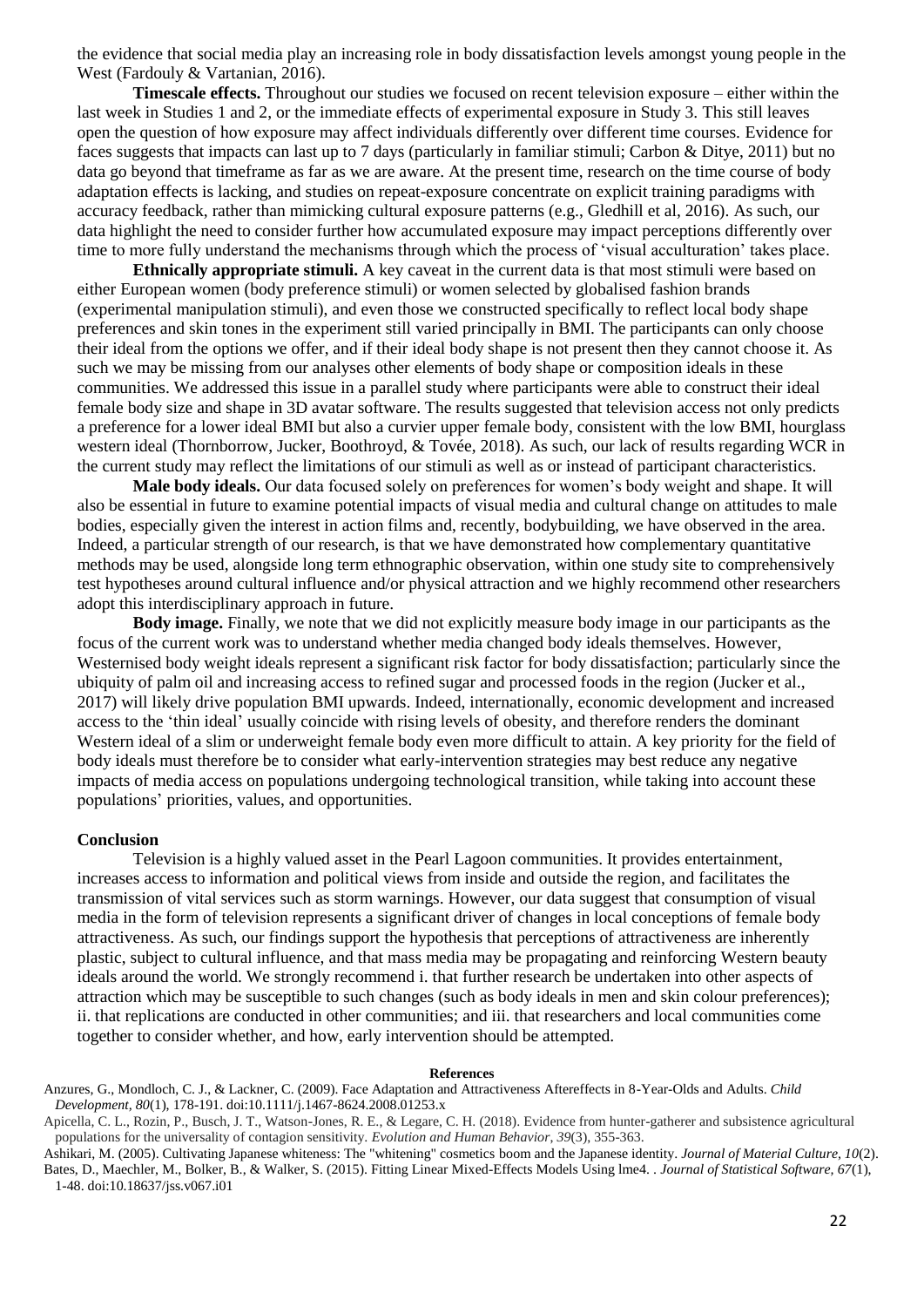the evidence that social media play an increasing role in body dissatisfaction levels amongst young people in the West (Fardouly & Vartanian, 2016).

**Timescale effects.** Throughout our studies we focused on recent television exposure – either within the last week in Studies 1 and 2, or the immediate effects of experimental exposure in Study 3. This still leaves open the question of how exposure may affect individuals differently over different time courses. Evidence for faces suggests that impacts can last up to 7 days (particularly in familiar stimuli; Carbon & Ditye, 2011) but no data go beyond that timeframe as far as we are aware. At the present time, research on the time course of body adaptation effects is lacking, and studies on repeat-exposure concentrate on explicit training paradigms with accuracy feedback, rather than mimicking cultural exposure patterns (e.g., Gledhill et al, 2016). As such, our data highlight the need to consider further how accumulated exposure may impact perceptions differently over time to more fully understand the mechanisms through which the process of 'visual acculturation' takes place.

**Ethnically appropriate stimuli.** A key caveat in the current data is that most stimuli were based on either European women (body preference stimuli) or women selected by globalised fashion brands (experimental manipulation stimuli), and even those we constructed specifically to reflect local body shape preferences and skin tones in the experiment still varied principally in BMI. The participants can only choose their ideal from the options we offer, and if their ideal body shape is not present then they cannot choose it. As such we may be missing from our analyses other elements of body shape or composition ideals in these communities. We addressed this issue in a parallel study where participants were able to construct their ideal female body size and shape in 3D avatar software. The results suggested that television access not only predicts a preference for a lower ideal BMI but also a curvier upper female body, consistent with the low BMI, hourglass western ideal (Thornborrow, Jucker, Boothroyd, & Tovée, 2018). As such, our lack of results regarding WCR in the current study may reflect the limitations of our stimuli as well as or instead of participant characteristics.

**Male body ideals.** Our data focused solely on preferences for women's body weight and shape. It will also be essential in future to examine potential impacts of visual media and cultural change on attitudes to male bodies, especially given the interest in action films and, recently, bodybuilding, we have observed in the area. Indeed, a particular strength of our research, is that we have demonstrated how complementary quantitative methods may be used, alongside long term ethnographic observation, within one study site to comprehensively test hypotheses around cultural influence and/or physical attraction and we highly recommend other researchers adopt this interdisciplinary approach in future.

**Body image.** Finally, we note that we did not explicitly measure body image in our participants as the focus of the current work was to understand whether media changed body ideals themselves. However, Westernised body weight ideals represent a significant risk factor for body dissatisfaction; particularly since the ubiquity of palm oil and increasing access to refined sugar and processed foods in the region (Jucker et al., 2017) will likely drive population BMI upwards. Indeed, internationally, economic development and increased access to the 'thin ideal' usually coincide with rising levels of obesity, and therefore renders the dominant Western ideal of a slim or underweight female body even more difficult to attain. A key priority for the field of body ideals must therefore be to consider what early-intervention strategies may best reduce any negative impacts of media access on populations undergoing technological transition, while taking into account these populations' priorities, values, and opportunities.

#### **Conclusion**

Television is a highly valued asset in the Pearl Lagoon communities. It provides entertainment, increases access to information and political views from inside and outside the region, and facilitates the transmission of vital services such as storm warnings. However, our data suggest that consumption of visual media in the form of television represents a significant driver of changes in local conceptions of female body attractiveness. As such, our findings support the hypothesis that perceptions of attractiveness are inherently plastic, subject to cultural influence, and that mass media may be propagating and reinforcing Western beauty ideals around the world. We strongly recommend i. that further research be undertaken into other aspects of attraction which may be susceptible to such changes (such as body ideals in men and skin colour preferences); ii. that replications are conducted in other communities; and iii. that researchers and local communities come together to consider whether, and how, early intervention should be attempted.

#### **References**

Anzures, G., Mondloch, C. J., & Lackner, C. (2009). Face Adaptation and Attractiveness Aftereffects in 8-Year-Olds and Adults. *Child Development, 80*(1), 178-191. doi:10.1111/j.1467-8624.2008.01253.x

Apicella, C. L., Rozin, P., Busch, J. T., Watson-Jones, R. E., & Legare, C. H. (2018). Evidence from hunter-gatherer and subsistence agricultural populations for the universality of contagion sensitivity. *Evolution and Human Behavior*, *39*(3), 355-363.

Ashikari, M. (2005). Cultivating Japanese whiteness: The "whitening" cosmetics boom and the Japanese identity. *Journal of Material Culture, 10*(2). Bates, D., Maechler, M., Bolker, B., & Walker, S. (2015). Fitting Linear Mixed-Effects Models Using lme4. . *Journal of Statistical Software, 67*(1), 1-48. doi:10.18637/jss.v067.i01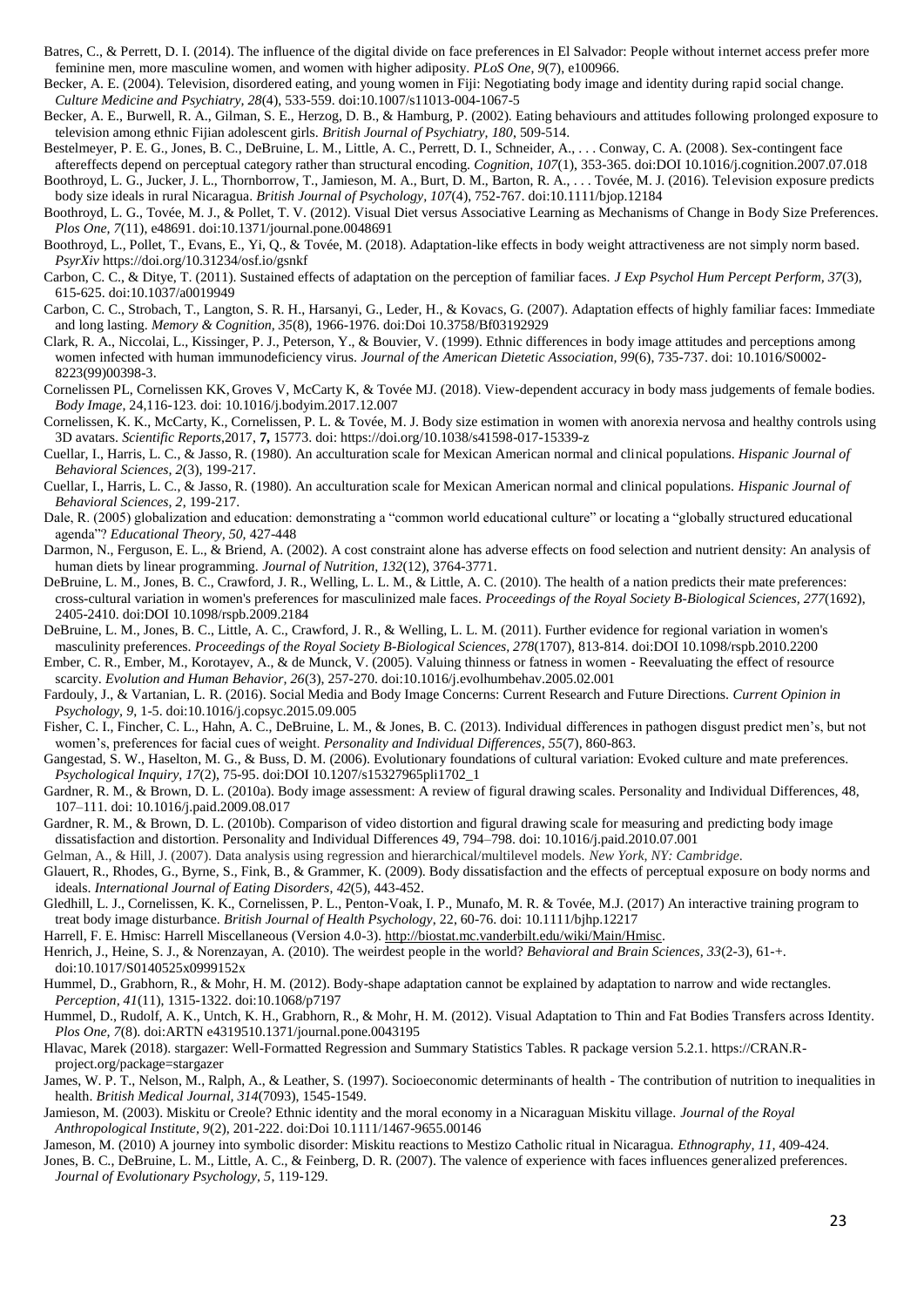Batres, C., & Perrett, D. I. (2014). The influence of the digital divide on face preferences in El Salvador: People without internet access prefer more feminine men, more masculine women, and women with higher adiposity. *PLoS One*, *9*(7), e100966.

Becker, A. E. (2004). Television, disordered eating, and young women in Fiji: Negotiating body image and identity during rapid social change. *Culture Medicine and Psychiatry, 28*(4), 533-559. doi:10.1007/s11013-004-1067-5

Becker, A. E., Burwell, R. A., Gilman, S. E., Herzog, D. B., & Hamburg, P. (2002). Eating behaviours and attitudes following prolonged exposure to television among ethnic Fijian adolescent girls. *British Journal of Psychiatry, 180*, 509-514.

Bestelmeyer, P. E. G., Jones, B. C., DeBruine, L. M., Little, A. C., Perrett, D. I., Schneider, A., . . . Conway, C. A. (2008). Sex-contingent face

aftereffects depend on perceptual category rather than structural encoding. *Cognition, 107*(1), 353-365. doi:DOI 10.1016/j.cognition.2007.07.018 Boothroyd, L. G., Jucker, J. L., Thornborrow, T., Jamieson, M. A., Burt, D. M., Barton, R. A., . . . Tovée, M. J. (2016). Television exposure predicts

- body size ideals in rural Nicaragua. *British Journal of Psychology, 107*(4), 752-767. doi:10.1111/bjop.12184 Boothroyd, L. G., Tovée, M. J., & Pollet, T. V. (2012). Visual Diet versus Associative Learning as Mechanisms of Change in Body Size Preferences. *Plos One, 7*(11), e48691. doi:10.1371/journal.pone.0048691
- Boothroyd, L., Pollet, T., Evans, E., Yi, Q., & Tovée, M. (2018). Adaptation-like effects in body weight attractiveness are not simply norm based. *PsyrXiv* https://doi.org/10.31234/osf.io/gsnkf
- Carbon, C. C., & Ditye, T. (2011). Sustained effects of adaptation on the perception of familiar faces. *J Exp Psychol Hum Percept Perform, 37*(3), 615-625. doi:10.1037/a0019949
- Carbon, C. C., Strobach, T., Langton, S. R. H., Harsanyi, G., Leder, H., & Kovacs, G. (2007). Adaptation effects of highly familiar faces: Immediate and long lasting. *Memory & Cognition, 35*(8), 1966-1976. doi:Doi 10.3758/Bf03192929
- Clark, R. A., Niccolai, L., Kissinger, P. J., Peterson, Y., & Bouvier, V. (1999). Ethnic differences in body image attitudes and perceptions among women infected with human immunodeficiency virus. *Journal of the American Dietetic Association, 99*(6), 735-737. doi: 10.1016/S0002- 8223(99)00398-3.
- Cornelissen PL, Cornelissen KK, Groves V, McCarty K, & Tovée MJ. (2018). View-dependent accuracy in body mass judgements of female bodies. *Body Image*, 24,116-123. doi: 10.1016/j.bodyim.2017.12.007
- Cornelissen, K. K., McCarty, K., Cornelissen, P. L. & Tovée, M. J. Body size estimation in women with anorexia nervosa and healthy controls using 3D avatars. *Scientific Reports*,2017, **7,** 15773. doi: https://doi.org/10.1038/s41598-017-15339-z
- Cuellar, I., Harris, L. C., & Jasso, R. (1980). An acculturation scale for Mexican American normal and clinical populations. *Hispanic Journal of Behavioral Sciences, 2*(3), 199-217.
- Cuellar, I., Harris, L. C., & Jasso, R. (1980). An acculturation scale for Mexican American normal and clinical populations. *Hispanic Journal of Behavioral Sciences, 2*, 199-217.
- Dale, R. (2005) globalization and education: demonstrating a "common world educational culture" or locating a "globally structured educational agenda"? *Educational Theory, 50,* 427-448
- Darmon, N., Ferguson, E. L., & Briend, A. (2002). A cost constraint alone has adverse effects on food selection and nutrient density: An analysis of human diets by linear programming. *Journal of Nutrition, 132*(12), 3764-3771.
- DeBruine, L. M., Jones, B. C., Crawford, J. R., Welling, L. L. M., & Little, A. C. (2010). The health of a nation predicts their mate preferences: cross-cultural variation in women's preferences for masculinized male faces. *Proceedings of the Royal Society B-Biological Sciences, 277*(1692), 2405-2410. doi:DOI 10.1098/rspb.2009.2184
- DeBruine, L. M., Jones, B. C., Little, A. C., Crawford, J. R., & Welling, L. L. M. (2011). Further evidence for regional variation in women's masculinity preferences. *Proceedings of the Royal Society B-Biological Sciences, 278*(1707), 813-814. doi:DOI 10.1098/rspb.2010.2200
- Ember, C. R., Ember, M., Korotayev, A., & de Munck, V. (2005). Valuing thinness or fatness in women Reevaluating the effect of resource scarcity. *Evolution and Human Behavior, 26*(3), 257-270. doi:10.1016/j.evolhumbehav.2005.02.001
- Fardouly, J., & Vartanian, L. R. (2016). Social Media and Body Image Concerns: Current Research and Future Directions. *Current Opinion in Psychology, 9*, 1-5. doi:10.1016/j.copsyc.2015.09.005
- Fisher, C. I., Fincher, C. L., Hahn, A. C., DeBruine, L. M., & Jones, B. C. (2013). Individual differences in pathogen disgust predict men's, but not women's, preferences for facial cues of weight. *Personality and Individual Differences*, *55*(7), 860-863.
- Gangestad, S. W., Haselton, M. G., & Buss, D. M. (2006). Evolutionary foundations of cultural variation: Evoked culture and mate preferences. *Psychological Inquiry, 17*(2), 75-95. doi:DOI 10.1207/s15327965pli1702\_1
- Gardner, R. M., & Brown, D. L. (2010a). Body image assessment: A review of figural drawing scales. Personality and Individual Differences, 48, 107–111. doi: 10.1016/j.paid.2009.08.017
- Gardner, R. M., & Brown, D. L. (2010b). Comparison of video distortion and figural drawing scale for measuring and predicting body image dissatisfaction and distortion. Personality and Individual Differences 49, 794–798. doi: 10.1016/j.paid.2010.07.001
- Gelman, A., & Hill, J. (2007). Data analysis using regression and hierarchical/multilevel models. *New York, NY: Cambridge*.
- Glauert, R., Rhodes, G., Byrne, S., Fink, B., & Grammer, K. (2009). Body dissatisfaction and the effects of perceptual exposure on body norms and ideals. *International Journal of Eating Disorders*, *42*(5), 443-452.
- Gledhill, L. J., Cornelissen, K. K., Cornelissen, P. L., Penton-Voak, I. P., Munafo, M. R. & Tovée, M.J. (2017) An interactive training program to treat body image disturbance. *British Journal of Health Psychology*, 22, 60-76. doi: 10.1111/bjhp.12217
- Harrell, F. E. Hmisc: Harrell Miscellaneous (Version 4.0-3). [http://biostat.mc.vanderbilt.edu/wiki/Main/Hmisc.](http://biostat.mc.vanderbilt.edu/wiki/Main/Hmisc)
- Henrich, J., Heine, S. J., & Norenzayan, A. (2010). The weirdest people in the world? *Behavioral and Brain Sciences, 33*(2-3), 61-+. doi:10.1017/S0140525x0999152x
- Hummel, D., Grabhorn, R., & Mohr, H. M. (2012). Body-shape adaptation cannot be explained by adaptation to narrow and wide rectangles. *Perception, 41*(11), 1315-1322. doi:10.1068/p7197
- Hummel, D., Rudolf, A. K., Untch, K. H., Grabhorn, R., & Mohr, H. M. (2012). Visual Adaptation to Thin and Fat Bodies Transfers across Identity. *Plos One, 7*(8). doi:ARTN e4319510.1371/journal.pone.0043195
- Hlavac, Marek (2018). stargazer: Well-Formatted Regression and Summary Statistics Tables. R package version 5.2.1. https://CRAN.Rproject.org/package=stargazer
- James, W. P. T., Nelson, M., Ralph, A., & Leather, S. (1997). Socioeconomic determinants of health The contribution of nutrition to inequalities in health. *British Medical Journal, 314*(7093), 1545-1549.
- Jamieson, M. (2003). Miskitu or Creole? Ethnic identity and the moral economy in a Nicaraguan Miskitu village. *Journal of the Royal Anthropological Institute, 9*(2), 201-222. doi:Doi 10.1111/1467-9655.00146
- Jameson, M. (2010) A journey into symbolic disorder: Miskitu reactions to Mestizo Catholic ritual in Nicaragua. *Ethnography, 11*, 409-424.
- Jones, B. C., DeBruine, L. M., Little, A. C., & Feinberg, D. R. (2007). The valence of experience with faces influences generalized preferences. *Journal of Evolutionary Psychology, 5*, 119-129.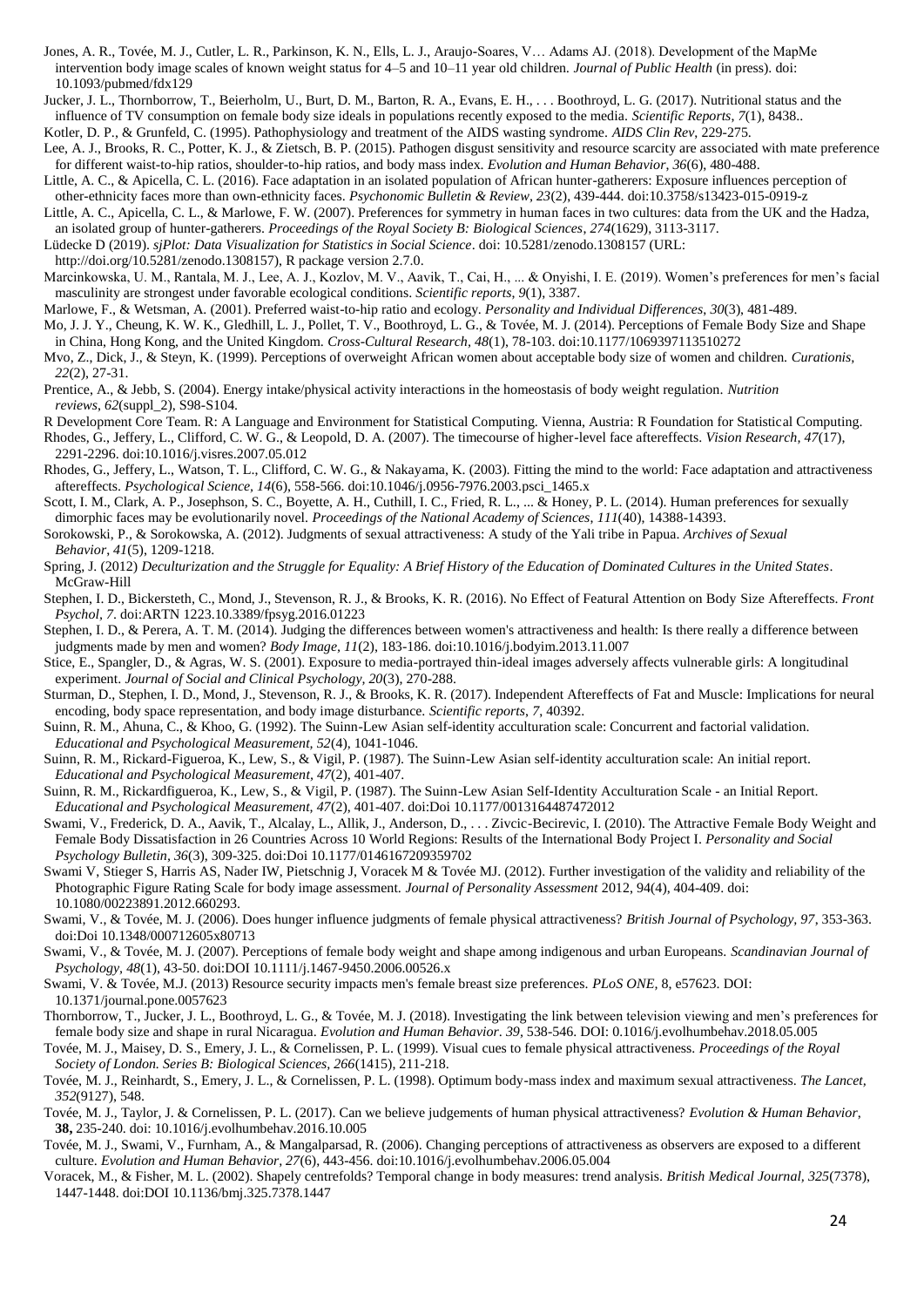- Jones, A. R., Tovée, M. J., Cutler, L. R., Parkinson, K. N., Ells, L. J., Araujo-Soares, V… Adams AJ. (2018). Development of the MapMe intervention body image scales of known weight status for 4–5 and 10–11 year old children*. Journal of Public Health* (in press). doi: 10.1093/pubmed/fdx129
- Jucker, J. L., Thornborrow, T., Beierholm, U., Burt, D. M., Barton, R. A., Evans, E. H., . . . Boothroyd, L. G. (2017). Nutritional status and the influence of TV consumption on female body size ideals in populations recently exposed to the media. *Scientific Reports*, *7*(1), 8438..

Kotler, D. P., & Grunfeld, C. (1995). Pathophysiology and treatment of the AIDS wasting syndrome. *AIDS Clin Rev*, 229-275.

- Lee, A. J., Brooks, R. C., Potter, K. J., & Zietsch, B. P. (2015). Pathogen disgust sensitivity and resource scarcity are associated with mate preference for different waist-to-hip ratios, shoulder-to-hip ratios, and body mass index. *Evolution and Human Behavior*, *36*(6), 480-488.
- Little, A. C., & Apicella, C. L. (2016). Face adaptation in an isolated population of African hunter-gatherers: Exposure influences perception of other-ethnicity faces more than own-ethnicity faces. *Psychonomic Bulletin & Review, 23*(2), 439-444. doi:10.3758/s13423-015-0919-z
- Little, A. C., Apicella, C. L., & Marlowe, F. W. (2007). Preferences for symmetry in human faces in two cultures: data from the UK and the Hadza, an isolated group of hunter-gatherers. *Proceedings of the Royal Society B: Biological Sciences*, *274*(1629), 3113-3117.
- Lüdecke D (2019). *sjPlot: Data Visualization for Statistics in Social Science*. doi: 10.5281/zenodo.1308157 (URL:

http://doi.org/10.5281/zenodo.1308157), R package version 2.7.0.

- Marcinkowska, U. M., Rantala, M. J., Lee, A. J., Kozlov, M. V., Aavik, T., Cai, H., ... & Onyishi, I. E. (2019). Women's preferences for men's facial masculinity are strongest under favorable ecological conditions. *Scientific reports*, *9*(1), 3387.
- Marlowe, F., & Wetsman, A. (2001). Preferred waist-to-hip ratio and ecology. *Personality and Individual Differences*, *30*(3), 481-489.
- Mo, J. J. Y., Cheung, K. W. K., Gledhill, L. J., Pollet, T. V., Boothroyd, L. G., & Tovée, M. J. (2014). Perceptions of Female Body Size and Shape in China, Hong Kong, and the United Kingdom. *Cross-Cultural Research, 48*(1), 78-103. doi:10.1177/1069397113510272
- Mvo, Z., Dick, J., & Steyn, K. (1999). Perceptions of overweight African women about acceptable body size of women and children. *Curationis, 22*(2), 27-31.
- Prentice, A., & Jebb, S. (2004). Energy intake/physical activity interactions in the homeostasis of body weight regulation. *Nutrition reviews*, *62*(suppl\_2), S98-S104.
- R Development Core Team. R: A Language and Environment for Statistical Computing. Vienna, Austria: R Foundation for Statistical Computing.
- Rhodes, G., Jeffery, L., Clifford, C. W. G., & Leopold, D. A. (2007). The timecourse of higher-level face aftereffects. *Vision Research, 47*(17), 2291-2296. doi:10.1016/j.visres.2007.05.012
- Rhodes, G., Jeffery, L., Watson, T. L., Clifford, C. W. G., & Nakayama, K. (2003). Fitting the mind to the world: Face adaptation and attractiveness aftereffects. *Psychological Science, 14*(6), 558-566. doi:10.1046/j.0956-7976.2003.psci\_1465.x
- Scott, I. M., Clark, A. P., Josephson, S. C., Boyette, A. H., Cuthill, I. C., Fried, R. L., ... & Honey, P. L. (2014). Human preferences for sexually dimorphic faces may be evolutionarily novel. *Proceedings of the National Academy of Sciences*, *111*(40), 14388-14393.
- Sorokowski, P., & Sorokowska, A. (2012). Judgments of sexual attractiveness: A study of the Yali tribe in Papua. *Archives of Sexual*
- *Behavior*, *41*(5), 1209-1218. Spring, J. (2012) *Deculturization and the Struggle for Equality: A Brief History of the Education of Dominated Cultures in the United States*. McGraw-Hill
- Stephen, I. D., Bickersteth, C., Mond, J., Stevenson, R. J., & Brooks, K. R. (2016). No Effect of Featural Attention on Body Size Aftereffects. *Front Psychol, 7*. doi:ARTN 1223.10.3389/fpsyg.2016.01223
- Stephen, I. D., & Perera, A. T. M. (2014). Judging the differences between women's attractiveness and health: Is there really a difference between judgments made by men and women? *Body Image, 11*(2), 183-186. doi:10.1016/j.bodyim.2013.11.007
- Stice, E., Spangler, D., & Agras, W. S. (2001). Exposure to media-portrayed thin-ideal images adversely affects vulnerable girls: A longitudinal experiment. *Journal of Social and Clinical Psychology, 20*(3), 270-288.
- Sturman, D., Stephen, I. D., Mond, J., Stevenson, R. J., & Brooks, K. R. (2017). Independent Aftereffects of Fat and Muscle: Implications for neural encoding, body space representation, and body image disturbance. *Scientific reports*, *7*, 40392.
- Suinn, R. M., Ahuna, C., & Khoo, G. (1992). The Suinn-Lew Asian self-identity acculturation scale: Concurrent and factorial validation. *Educational and Psychological Measurement, 52*(4), 1041-1046.
- Suinn, R. M., Rickard-Figueroa, K., Lew, S., & Vigil, P. (1987). The Suinn-Lew Asian self-identity acculturation scale: An initial report. *Educational and Psychological Measurement, 47*(2), 401-407.
- Suinn, R. M., Rickardfigueroa, K., Lew, S., & Vigil, P. (1987). The Suinn-Lew Asian Self-Identity Acculturation Scale an Initial Report. *Educational and Psychological Measurement, 47*(2), 401-407. doi:Doi 10.1177/0013164487472012
- Swami, V., Frederick, D. A., Aavik, T., Alcalay, L., Allik, J., Anderson, D., . . . Zivcic-Becirevic, I. (2010). The Attractive Female Body Weight and Female Body Dissatisfaction in 26 Countries Across 10 World Regions: Results of the International Body Project I. *Personality and Social Psychology Bulletin, 36*(3), 309-325. doi:Doi 10.1177/0146167209359702
- Swami V, Stieger S, Harris AS, Nader IW, Pietschnig J, Voracek M & Tovée MJ. (2012). Further investigation of the validity and reliability of the Photographic Figure Rating Scale for body image assessment. *Journal of Personality Assessment* 2012, 94(4), 404-409. doi: 10.1080/00223891.2012.660293.
- Swami, V., & Tovée, M. J. (2006). Does hunger influence judgments of female physical attractiveness? *British Journal of Psychology, 97*, 353-363. doi:Doi 10.1348/000712605x80713
- Swami, V., & Tovée, M. J. (2007). Perceptions of female body weight and shape among indigenous and urban Europeans. *Scandinavian Journal of Psychology, 48*(1), 43-50. doi:DOI 10.1111/j.1467-9450.2006.00526.x
- Swami, V. & Tovée, M.J. (2013) Resource security impacts men's female breast size preferences. *PLoS ONE,* 8, e57623. DOI: 10.1371/journal.pone.0057623
- Thornborrow, T., Jucker, J. L., Boothroyd, L. G., & Tovée, M. J. (2018). Investigating the link between television viewing and men's preferences for female body size and shape in rural Nicaragua. *Evolution and Human Behavior*. *39,* 538-546. DOI: 0.1016/j.evolhumbehav.2018.05.005
- Tovée, M. J., Maisey, D. S., Emery, J. L., & Cornelissen, P. L. (1999). Visual cues to female physical attractiveness. *Proceedings of the Royal Society of London. Series B: Biological Sciences, 266*(1415), 211-218.
- Tovée, M. J., Reinhardt, S., Emery, J. L., & Cornelissen, P. L. (1998). Optimum body-mass index and maximum sexual attractiveness. *The Lancet, 352*(9127), 548.
- Tovée, M. J., Taylor, J. & Cornelissen, P. L. (2017). Can we believe judgements of human physical attractiveness? *Evolution & Human Behavior*, **38,** 235-240. doi: 10.1016/j.evolhumbehav.2016.10.005
- Tovée, M. J., Swami, V., Furnham, A., & Mangalparsad, R. (2006). Changing perceptions of attractiveness as observers are exposed to a different culture. *Evolution and Human Behavior, 27*(6), 443-456. doi:10.1016/j.evolhumbehav.2006.05.004
- Voracek, M., & Fisher, M. L. (2002). Shapely centrefolds? Temporal change in body measures: trend analysis. *British Medical Journal, 325*(7378), 1447-1448. doi:DOI 10.1136/bmj.325.7378.1447